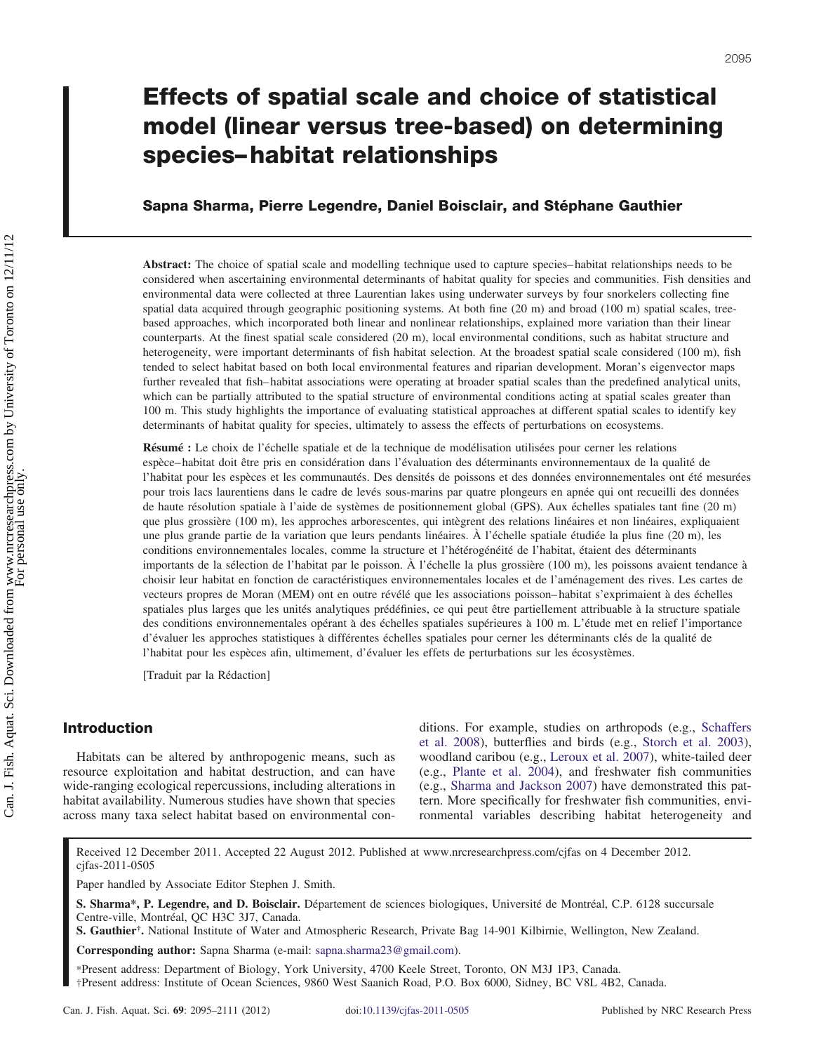# **Effects of spatial scale and choice of statistical model (linear versus tree-based) on determining species–habitat relationships**

# **Sapna Sharma, Pierre Legendre, Daniel Boisclair, and Stéphane Gauthier**

**Abstract:** The choice of spatial scale and modelling technique used to capture species–habitat relationships needs to be considered when ascertaining environmental determinants of habitat quality for species and communities. Fish densities and environmental data were collected at three Laurentian lakes using underwater surveys by four snorkelers collecting fine spatial data acquired through geographic positioning systems. At both fine (20 m) and broad (100 m) spatial scales, treebased approaches, which incorporated both linear and nonlinear relationships, explained more variation than their linear counterparts. At the finest spatial scale considered (20 m), local environmental conditions, such as habitat structure and heterogeneity, were important determinants of fish habitat selection. At the broadest spatial scale considered (100 m), fish tended to select habitat based on both local environmental features and riparian development. Moran's eigenvector maps further revealed that fish–habitat associations were operating at broader spatial scales than the predefined analytical units, which can be partially attributed to the spatial structure of environmental conditions acting at spatial scales greater than 100 m. This study highlights the importance of evaluating statistical approaches at different spatial scales to identify key determinants of habitat quality for species, ultimately to assess the effects of perturbations on ecosystems.

**Résumé :** Le choix de l'échelle spatiale et de la technique de modélisation utilisées pour cerner les relations espèce–habitat doit être pris en considération dans l'évaluation des déterminants environnementaux de la qualité de l'habitat pour les espèces et les communautés. Des densités de poissons et des données environnementales ont été mesurées pour trois lacs laurentiens dans le cadre de levés sous-marins par quatre plongeurs en apnée qui ont recueilli des données de haute résolution spatiale à l'aide de systèmes de positionnement global (GPS). Aux échelles spatiales tant fine (20 m) que plus grossière (100 m), les approches arborescentes, qui intègrent des relations linéaires et non linéaires, expliquaient une plus grande partie de la variation que leurs pendants linéaires. À l'échelle spatiale étudiée la plus fine (20 m), les conditions environnementales locales, comme la structure et l'hétérogénéité de l'habitat, étaient des déterminants importants de la sélection de l'habitat par le poisson. À l'échelle la plus grossière (100 m), les poissons avaient tendance a` choisir leur habitat en fonction de caractéristiques environnementales locales et de l'aménagement des rives. Les cartes de vecteurs propres de Moran (MEM) ont en outre révélé que les associations poisson–habitat s'exprimaient a` des échelles spatiales plus larges que les unités analytiques prédéfinies, ce qui peut être partiellement attribuable à la structure spatiale des conditions environnementales opérant à des échelles spatiales supérieures à 100 m. L'étude met en relief l'importance d'évaluer les approches statistiques a` différentes échelles spatiales pour cerner les déterminants clés de la qualité de l'habitat pour les espèces afin, ultimement, d'évaluer les effets de perturbations sur les écosystèmes.

[Traduit par la Rédaction]

## **Introduction**

Habitats can be altered by anthropogenic means, such as resource exploitation and habitat destruction, and can have wide-ranging ecological repercussions, including alterations in habitat availability. Numerous studies have shown that species across many taxa select habitat based on environmental con-

ditions. For example, studies on arthropods (e.g., [Schaffers](#page-12-0) [et al. 2008\)](#page-12-0), butterflies and birds (e.g., [Storch et al. 2003\)](#page-12-1), woodland caribou (e.g., [Leroux et al. 2007\)](#page-11-0), white-tailed deer (e.g., [Plante et al. 2004\)](#page-11-1), and freshwater fish communities (e.g., [Sharma and Jackson 2007\)](#page-12-2) have demonstrated this pattern. More specifically for freshwater fish communities, environmental variables describing habitat heterogeneity and

Received 12 December 2011. Accepted 22 August 2012. Published at www.nrcresearchpress.com/cjfas on 4 December 2012. cjfas-2011-0505

Paper handled by Associate Editor Stephen J. Smith.

**S. Sharma\*, P. Legendre, and D. Boisclair.** Département de sciences biologiques, Université de Montréal, C.P. 6128 succursale Centre-ville, Montréal, QC H3C 3J7, Canada.

**S. Gauthier†.** National Institute of Water and Atmospheric Research, Private Bag 14-901 Kilbirnie, Wellington, New Zealand.

**Corresponding author:** Sapna Sharma (e-mail: [sapna.sharma23@gmail.com\)](mailto:sapna.sharma23@gmail.com).

\*Present address: Department of Biology, York University, 4700 Keele Street, Toronto, ON M3J 1P3, Canada. †Present address: Institute of Ocean Sciences, 9860 West Saanich Road, P.O. Box 6000, Sidney, BC V8L 4B2, Canada.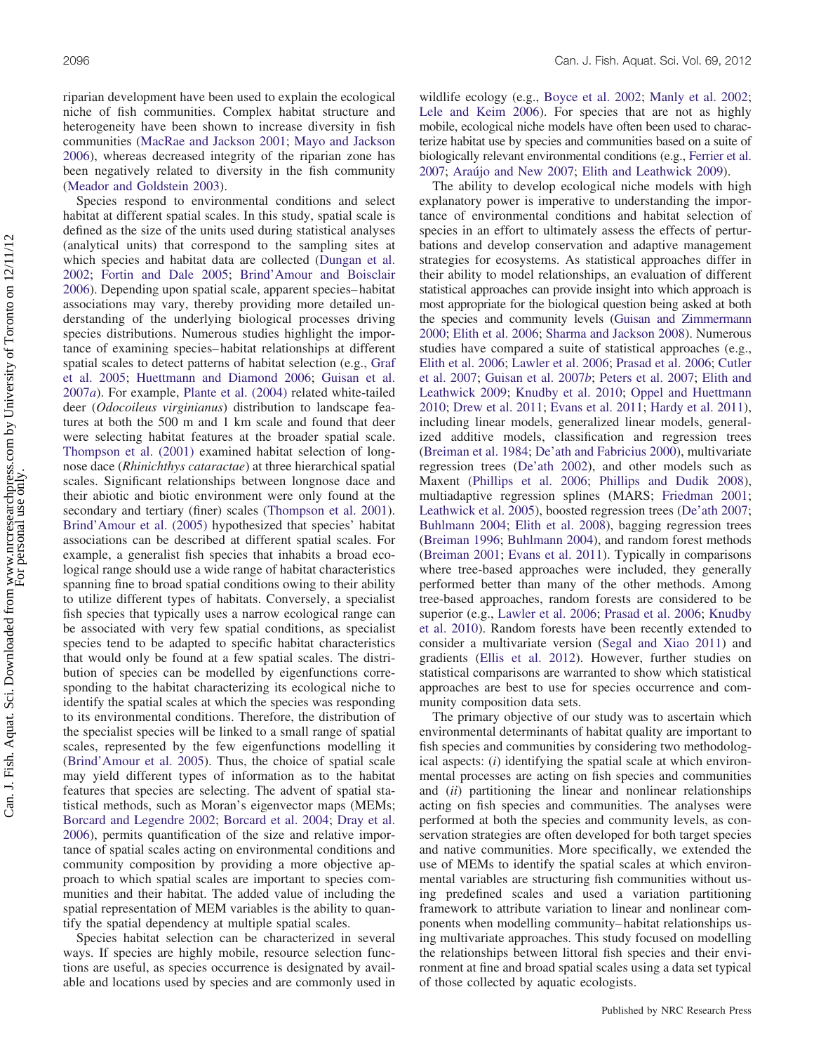riparian development have been used to explain the ecological niche of fish communities. Complex habitat structure and heterogeneity have been shown to increase diversity in fish communities [\(MacRae and Jackson 2001;](#page-11-2) [Mayo and Jackson](#page-11-3) [2006\)](#page-11-3), whereas decreased integrity of the riparian zone has been negatively related to diversity in the fish community [\(Meador and Goldstein 2003\)](#page-11-4).

Species respond to environmental conditions and select habitat at different spatial scales. In this study, spatial scale is defined as the size of the units used during statistical analyses (analytical units) that correspond to the sampling sites at which species and habitat data are collected [\(Dungan et al.](#page-10-0) [2002;](#page-10-0) [Fortin and Dale 2005;](#page-11-5) [Brind'Amour and Boisclair](#page-10-1) [2006\)](#page-10-1). Depending upon spatial scale, apparent species–habitat associations may vary, thereby providing more detailed understanding of the underlying biological processes driving species distributions. Numerous studies highlight the importance of examining species–habitat relationships at different spatial scales to detect patterns of habitat selection (e.g., [Graf](#page-11-6) [et al. 2005;](#page-11-6) [Huettmann and Diamond 2006;](#page-11-7) [Guisan et al.](#page-11-8) [2007](#page-11-8)*a*). For example, [Plante et al. \(2004\)](#page-11-1) related white-tailed deer (*Odocoileus virginianus*) distribution to landscape features at both the 500 m and 1 km scale and found that deer were selecting habitat features at the broader spatial scale. [Thompson et al. \(2001\)](#page-12-3) examined habitat selection of longnose dace (*Rhinichthys cataractae*) at three hierarchical spatial scales. Significant relationships between longnose dace and their abiotic and biotic environment were only found at the secondary and tertiary (finer) scales [\(Thompson et al. 2001\)](#page-12-3). [Brind'Amour et al. \(2005\)](#page-10-2) hypothesized that species' habitat associations can be described at different spatial scales. For example, a generalist fish species that inhabits a broad ecological range should use a wide range of habitat characteristics spanning fine to broad spatial conditions owing to their ability to utilize different types of habitats. Conversely, a specialist fish species that typically uses a narrow ecological range can be associated with very few spatial conditions, as specialist species tend to be adapted to specific habitat characteristics that would only be found at a few spatial scales. The distribution of species can be modelled by eigenfunctions corresponding to the habitat characterizing its ecological niche to identify the spatial scales at which the species was responding to its environmental conditions. Therefore, the distribution of the specialist species will be linked to a small range of spatial scales, represented by the few eigenfunctions modelling it [\(Brind'Amour et al. 2005\)](#page-10-2). Thus, the choice of spatial scale may yield different types of information as to the habitat features that species are selecting. The advent of spatial statistical methods, such as Moran's eigenvector maps (MEMs; [Borcard and Legendre 2002;](#page-10-3) [Borcard et al. 2004;](#page-10-4) [Dray et al.](#page-10-5) [2006\)](#page-10-5), permits quantification of the size and relative importance of spatial scales acting on environmental conditions and community composition by providing a more objective approach to which spatial scales are important to species communities and their habitat. The added value of including the spatial representation of MEM variables is the ability to quantify the spatial dependency at multiple spatial scales.

Species habitat selection can be characterized in several ways. If species are highly mobile, resource selection functions are useful, as species occurrence is designated by available and locations used by species and are commonly used in wildlife ecology (e.g., [Boyce et al. 2002;](#page-10-6) [Manly et al. 2002;](#page-11-9) [Lele and Keim 2006\)](#page-11-10). For species that are not as highly mobile, ecological niche models have often been used to characterize habitat use by species and communities based on a suite of biologically relevant environmental conditions (e.g., [Ferrier et al.](#page-11-11) [2007;](#page-11-11) [Araújo and New 2007;](#page-10-7) [Elith and Leathwick 2009\)](#page-10-8).

The ability to develop ecological niche models with high explanatory power is imperative to understanding the importance of environmental conditions and habitat selection of species in an effort to ultimately assess the effects of perturbations and develop conservation and adaptive management strategies for ecosystems. As statistical approaches differ in their ability to model relationships, an evaluation of different statistical approaches can provide insight into which approach is most appropriate for the biological question being asked at both the species and community levels [\(Guisan and Zimmermann](#page-11-12) [2000;](#page-11-12) [Elith et al. 2006;](#page-10-9) [Sharma and Jackson 2008\)](#page-12-4). Numerous studies have compared a suite of statistical approaches (e.g., [Elith et al. 2006;](#page-10-9) [Lawler et al. 2006;](#page-11-13) [Prasad et al. 2006;](#page-12-5) [Cutler](#page-10-10) [et al. 2007;](#page-10-10) [Guisan et al. 2007](#page-11-14)*b*; [Peters et al. 2007;](#page-11-15) [Elith and](#page-10-8) [Leathwick 2009;](#page-10-8) [Knudby et al. 2010;](#page-11-16) [Oppel and Huettmann](#page-11-17) [2010;](#page-11-17) [Drew et al. 2011;](#page-10-11) [Evans et al. 2011;](#page-10-12) [Hardy et al. 2011\)](#page-11-18), including linear models, generalized linear models, generalized additive models, classification and regression trees [\(Breiman et al. 1984;](#page-10-13) [De'ath and Fabricius 2000\)](#page-10-14), multivariate regression trees [\(De'ath 2002\)](#page-10-15), and other models such as Maxent [\(Phillips et al. 2006;](#page-11-19) [Phillips and Dudik 2008\)](#page-11-20), multiadaptive regression splines (MARS; [Friedman 2001;](#page-11-21) [Leathwick et al. 2005\)](#page-11-22), boosted regression trees [\(De'ath 2007;](#page-10-16) [Buhlmann 2004;](#page-10-17) [Elith et al. 2008\)](#page-10-18), bagging regression trees [\(Breiman 1996;](#page-10-19) [Buhlmann 2004\)](#page-10-17), and random forest methods [\(Breiman 2001;](#page-10-20) [Evans et al. 2011\)](#page-10-12). Typically in comparisons where tree-based approaches were included, they generally performed better than many of the other methods. Among tree-based approaches, random forests are considered to be superior (e.g., [Lawler et al. 2006;](#page-11-13) [Prasad et al. 2006;](#page-12-5) [Knudby](#page-11-16) [et al. 2010\)](#page-11-16). Random forests have been recently extended to consider a multivariate version [\(Segal and Xiao 2011\)](#page-12-6) and gradients [\(Ellis et al. 2012\)](#page-10-21). However, further studies on statistical comparisons are warranted to show which statistical approaches are best to use for species occurrence and community composition data sets.

The primary objective of our study was to ascertain which environmental determinants of habitat quality are important to fish species and communities by considering two methodological aspects: (*i*) identifying the spatial scale at which environmental processes are acting on fish species and communities and (*ii*) partitioning the linear and nonlinear relationships acting on fish species and communities. The analyses were performed at both the species and community levels, as conservation strategies are often developed for both target species and native communities. More specifically, we extended the use of MEMs to identify the spatial scales at which environmental variables are structuring fish communities without using predefined scales and used a variation partitioning framework to attribute variation to linear and nonlinear components when modelling community–habitat relationships using multivariate approaches. This study focused on modelling the relationships between littoral fish species and their environment at fine and broad spatial scales using a data set typical of those collected by aquatic ecologists.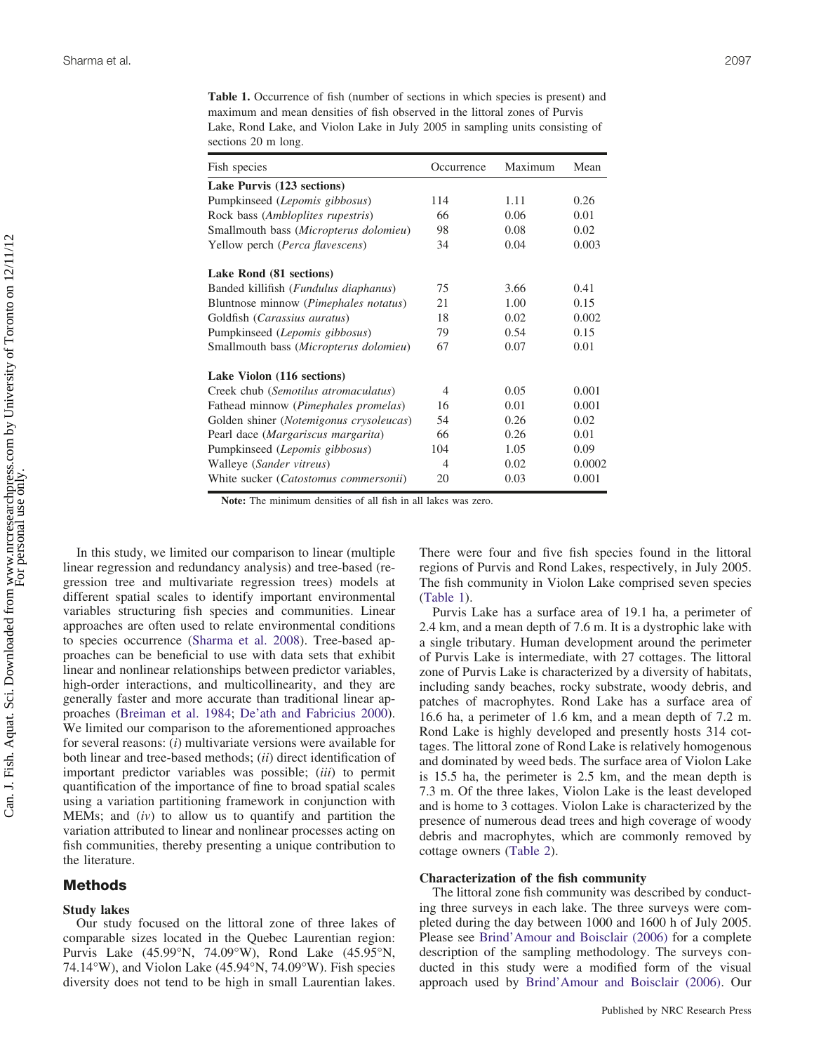<span id="page-2-0"></span>**Table 1.** Occurrence of fish (number of sections in which species is present) and maximum and mean densities of fish observed in the littoral zones of Purvis Lake, Rond Lake, and Violon Lake in July 2005 in sampling units consisting of sections 20 m long.

| Fish species                                   | Occurrence | Maximum | Mean   |
|------------------------------------------------|------------|---------|--------|
| Lake Purvis (123 sections)                     |            |         |        |
| Pumpkinseed (Lepomis gibbosus)                 | 114        | 1.11    | 0.26   |
| Rock bass (Ambloplites rupestris)              | 66         | 0.06    | 0.01   |
| Smallmouth bass (Micropterus dolomieu)         | 98         | 0.08    | 0.02   |
| Yellow perch (Perca flavescens)                | 34         | 0.04    | 0.003  |
| Lake Rond (81 sections)                        |            |         |        |
| Banded killifish (Fundulus diaphanus)          | 75         | 3.66    | 0.41   |
| Bluntnose minnow (Pimephales notatus)          | 21         | 1.00    | 0.15   |
| Goldfish (Carassius auratus)                   | 18         | 0.02    | 0.002  |
| Pumpkinseed (Lepomis gibbosus)                 | 79         | 0.54    | 0.15   |
| Smallmouth bass (Micropterus dolomieu)         | 67         | 0.07    | 0.01   |
| Lake Violon (116 sections)                     |            |         |        |
| Creek chub (Semotilus atromaculatus)           | 4          | 0.05    | 0.001  |
| Fathead minnow ( <i>Pimephales promelas</i> )  | 16         | 0.01    | 0.001  |
| Golden shiner (Notemigonus crysoleucas)        | 54         | 0.26    | 0.02   |
| Pearl dace (Margariscus margarita)             | 66         | 0.26    | 0.01   |
| Pumpkinseed (Lepomis gibbosus)                 | 104        | 1.05    | 0.09   |
| Walleye (Sander vitreus)                       | 4          | 0.02    | 0.0002 |
| White sucker ( <i>Catostomus commersonii</i> ) | 20         | 0.03    | 0.001  |

**Note:** The minimum densities of all fish in all lakes was zero.

In this study, we limited our comparison to linear (multiple linear regression and redundancy analysis) and tree-based (regression tree and multivariate regression trees) models at different spatial scales to identify important environmental variables structuring fish species and communities. Linear approaches are often used to relate environmental conditions to species occurrence [\(Sharma et al. 2008\)](#page-12-7). Tree-based approaches can be beneficial to use with data sets that exhibit linear and nonlinear relationships between predictor variables, high-order interactions, and multicollinearity, and they are generally faster and more accurate than traditional linear approaches [\(Breiman et al. 1984;](#page-10-13) [De'ath and Fabricius 2000\)](#page-10-14). We limited our comparison to the aforementioned approaches for several reasons: (*i*) multivariate versions were available for both linear and tree-based methods; (*ii*) direct identification of important predictor variables was possible; (*iii*) to permit quantification of the importance of fine to broad spatial scales using a variation partitioning framework in conjunction with MEMs; and (*iv*) to allow us to quantify and partition the variation attributed to linear and nonlinear processes acting on fish communities, thereby presenting a unique contribution to the literature.

### **Methods**

#### **Study lakes**

Our study focused on the littoral zone of three lakes of comparable sizes located in the Quebec Laurentian region: Purvis Lake (45.99°N, 74.09°W), Rond Lake (45.95°N, 74.14°W), and Violon Lake (45.94°N, 74.09°W). Fish species diversity does not tend to be high in small Laurentian lakes.

There were four and five fish species found in the littoral regions of Purvis and Rond Lakes, respectively, in July 2005. The fish community in Violon Lake comprised seven species [\(Table 1\)](#page-2-0).

Purvis Lake has a surface area of 19.1 ha, a perimeter of 2.4 km, and a mean depth of 7.6 m. It is a dystrophic lake with a single tributary. Human development around the perimeter of Purvis Lake is intermediate, with 27 cottages. The littoral zone of Purvis Lake is characterized by a diversity of habitats, including sandy beaches, rocky substrate, woody debris, and patches of macrophytes. Rond Lake has a surface area of 16.6 ha, a perimeter of 1.6 km, and a mean depth of 7.2 m. Rond Lake is highly developed and presently hosts 314 cottages. The littoral zone of Rond Lake is relatively homogenous and dominated by weed beds. The surface area of Violon Lake is 15.5 ha, the perimeter is 2.5 km, and the mean depth is 7.3 m. Of the three lakes, Violon Lake is the least developed and is home to 3 cottages. Violon Lake is characterized by the presence of numerous dead trees and high coverage of woody debris and macrophytes, which are commonly removed by cottage owners [\(Table 2\)](#page-3-0).

#### **Characterization of the fish community**

The littoral zone fish community was described by conducting three surveys in each lake. The three surveys were completed during the day between 1000 and 1600 h of July 2005. Please see [Brind'Amour and Boisclair \(2006\)](#page-10-1) for a complete description of the sampling methodology. The surveys conducted in this study were a modified form of the visual approach used by [Brind'Amour and Boisclair \(2006\).](#page-10-1) Our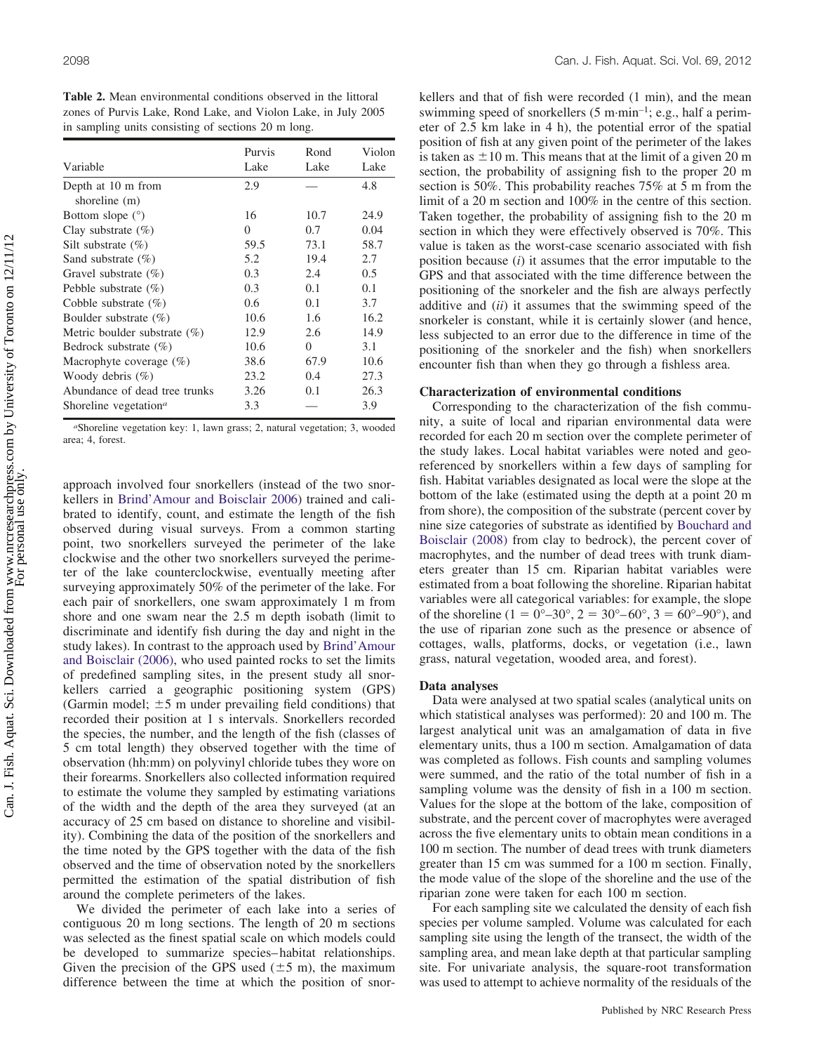<span id="page-3-0"></span>**Table 2.** Mean environmental conditions observed in the littoral zones of Purvis Lake, Rond Lake, and Violon Lake, in July 2005 in sampling units consisting of sections 20 m long.

|                                                | Purvis   | Rond     | Violon |
|------------------------------------------------|----------|----------|--------|
| Variable                                       | Lake     | Lake     | Lake   |
| Depth at 10 m from                             | 2.9      |          | 4.8    |
| shoreline (m)                                  |          |          |        |
| Bottom slope $(°)$                             | 16       | 10.7     | 24.9   |
| Clay substrate $(\%)$                          | $\Omega$ | 0.7      | 0.04   |
| Silt substrate $(\%)$                          | 59.5     | 73.1     | 58.7   |
| Sand substrate $(\% )$                         | 5.2      | 19.4     | 2.7    |
| Gravel substrate $(\% )$                       | 0.3      | 2.4      | 0.5    |
| Pebble substrate $(\%)$                        | 0.3      | 0.1      | 0.1    |
| Cobble substrate $(\% )$                       | 0.6      | 0.1      | 3.7    |
| Boulder substrate $(\%)$                       | 10.6     | 1.6      | 16.2   |
| Metric boulder substrate $(\%)$                | 12.9     | 2.6      | 14.9   |
| Bedrock substrate $(\% )$                      | 10.6     | $\Omega$ | 3.1    |
| Macrophyte coverage $(\%)$                     | 38.6     | 67.9     | 10.6   |
| Woody debris $(\% )$                           | 23.2     | 0.4      | 27.3   |
| Abundance of dead tree trunks                  | 3.26     | 0.1      | 26.3   |
| Shoreline vegetation <sup><math>a</math></sup> | 3.3      |          | 3.9    |

*<sup>a</sup>*Shoreline vegetation key: 1, lawn grass; 2, natural vegetation; 3, wooded area; 4, forest.

approach involved four snorkellers (instead of the two snorkellers in [Brind'Amour and Boisclair 2006\)](#page-10-1) trained and calibrated to identify, count, and estimate the length of the fish observed during visual surveys. From a common starting point, two snorkellers surveyed the perimeter of the lake clockwise and the other two snorkellers surveyed the perimeter of the lake counterclockwise, eventually meeting after surveying approximately 50% of the perimeter of the lake. For each pair of snorkellers, one swam approximately 1 m from shore and one swam near the 2.5 m depth isobath (limit to discriminate and identify fish during the day and night in the study lakes). In contrast to the approach used by [Brind'Amour](#page-10-1) [and Boisclair \(2006\),](#page-10-1) who used painted rocks to set the limits of predefined sampling sites, in the present study all snorkellers carried a geographic positioning system (GPS) (Garmin model;  $\pm 5$  m under prevailing field conditions) that recorded their position at 1 s intervals. Snorkellers recorded the species, the number, and the length of the fish (classes of 5 cm total length) they observed together with the time of observation (hh:mm) on polyvinyl chloride tubes they wore on their forearms. Snorkellers also collected information required to estimate the volume they sampled by estimating variations of the width and the depth of the area they surveyed (at an accuracy of 25 cm based on distance to shoreline and visibility). Combining the data of the position of the snorkellers and the time noted by the GPS together with the data of the fish observed and the time of observation noted by the snorkellers permitted the estimation of the spatial distribution of fish around the complete perimeters of the lakes.

We divided the perimeter of each lake into a series of contiguous 20 m long sections. The length of 20 m sections was selected as the finest spatial scale on which models could be developed to summarize species–habitat relationships. Given the precision of the GPS used  $(\pm 5 \text{ m})$ , the maximum difference between the time at which the position of snor-

kellers and that of fish were recorded (1 min), and the mean swimming speed of snorkellers (5 m·min–1; e.g., half a perimeter of 2.5 km lake in 4 h), the potential error of the spatial position of fish at any given point of the perimeter of the lakes is taken as  $\pm 10$  m. This means that at the limit of a given 20 m section, the probability of assigning fish to the proper 20 m section is 50%. This probability reaches 75% at 5 m from the limit of a 20 m section and 100% in the centre of this section. Taken together, the probability of assigning fish to the 20 m section in which they were effectively observed is 70%. This value is taken as the worst-case scenario associated with fish position because (*i*) it assumes that the error imputable to the GPS and that associated with the time difference between the positioning of the snorkeler and the fish are always perfectly additive and (*ii*) it assumes that the swimming speed of the snorkeler is constant, while it is certainly slower (and hence, less subjected to an error due to the difference in time of the positioning of the snorkeler and the fish) when snorkellers encounter fish than when they go through a fishless area.

#### **Characterization of environmental conditions**

Corresponding to the characterization of the fish community, a suite of local and riparian environmental data were recorded for each 20 m section over the complete perimeter of the study lakes. Local habitat variables were noted and georeferenced by snorkellers within a few days of sampling for fish. Habitat variables designated as local were the slope at the bottom of the lake (estimated using the depth at a point 20 m from shore), the composition of the substrate (percent cover by nine size categories of substrate as identified by [Bouchard and](#page-10-22) [Boisclair \(2008\)](#page-10-22) from clay to bedrock), the percent cover of macrophytes, and the number of dead trees with trunk diameters greater than 15 cm. Riparian habitat variables were estimated from a boat following the shoreline. Riparian habitat variables were all categorical variables: for example, the slope of the shoreline  $(1 = 0^{\circ}-30^{\circ}, 2 = 30^{\circ}-60^{\circ}, 3 = 60^{\circ}-90^{\circ})$ , and the use of riparian zone such as the presence or absence of cottages, walls, platforms, docks, or vegetation (i.e., lawn grass, natural vegetation, wooded area, and forest).

#### **Data analyses**

Data were analysed at two spatial scales (analytical units on which statistical analyses was performed): 20 and 100 m. The largest analytical unit was an amalgamation of data in five elementary units, thus a 100 m section. Amalgamation of data was completed as follows. Fish counts and sampling volumes were summed, and the ratio of the total number of fish in a sampling volume was the density of fish in a 100 m section. Values for the slope at the bottom of the lake, composition of substrate, and the percent cover of macrophytes were averaged across the five elementary units to obtain mean conditions in a 100 m section. The number of dead trees with trunk diameters greater than 15 cm was summed for a 100 m section. Finally, the mode value of the slope of the shoreline and the use of the riparian zone were taken for each 100 m section.

For each sampling site we calculated the density of each fish species per volume sampled. Volume was calculated for each sampling site using the length of the transect, the width of the sampling area, and mean lake depth at that particular sampling site. For univariate analysis, the square-root transformation was used to attempt to achieve normality of the residuals of the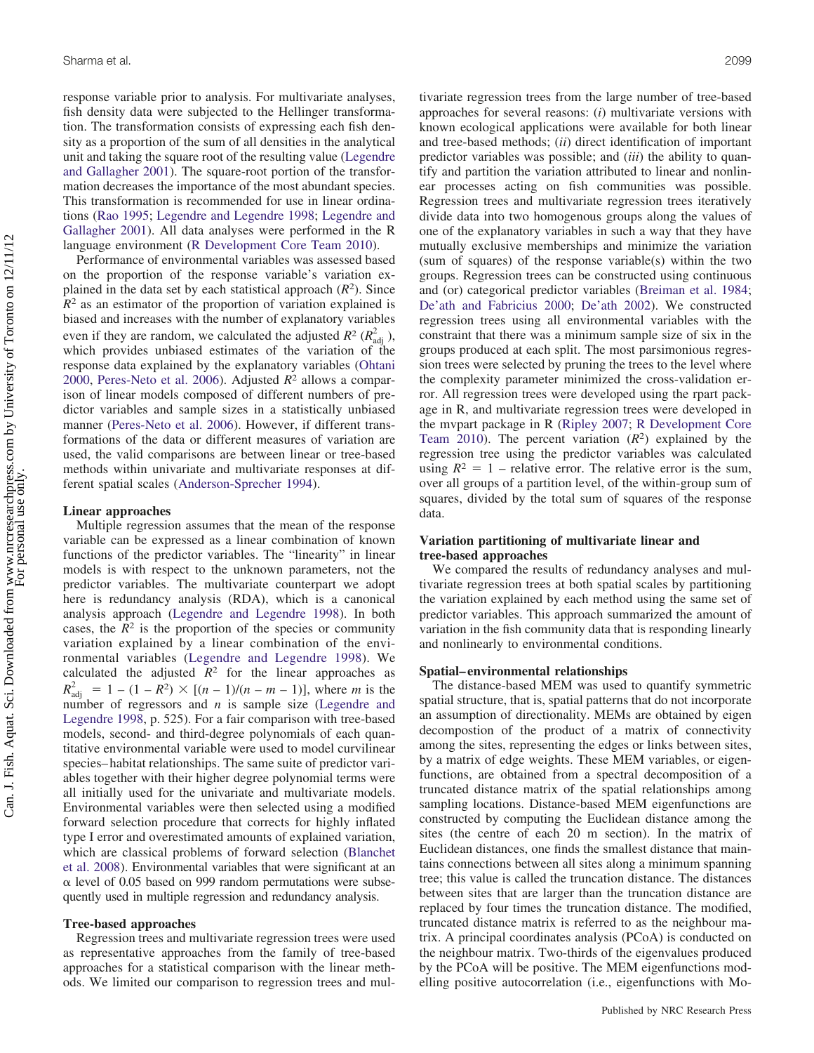response variable prior to analysis. For multivariate analyses, fish density data were subjected to the Hellinger transformation. The transformation consists of expressing each fish density as a proportion of the sum of all densities in the analytical unit and taking the square root of the resulting value [\(Legendre](#page-11-23) [and Gallagher 2001\)](#page-11-23). The square-root portion of the transformation decreases the importance of the most abundant species. This transformation is recommended for use in linear ordinations [\(Rao 1995;](#page-12-8) [Legendre and Legendre 1998;](#page-11-24) [Legendre and](#page-11-23) [Gallagher 2001\)](#page-11-23). All data analyses were performed in the R language environment [\(R Development Core Team 2010\)](#page-12-9).

Performance of environmental variables was assessed based on the proportion of the response variable's variation explained in the data set by each statistical approach  $(R<sup>2</sup>)$ . Since  $R<sup>2</sup>$  as an estimator of the proportion of variation explained is biased and increases with the number of explanatory variables even if they are random, we calculated the adjusted  $R^2$  ( $R^2_{\text{adj}}$ ), which provides unbiased estimates of the variation of the response data explained by the explanatory variables [\(Ohtani](#page-11-25) [2000,](#page-11-25) [Peres-Neto et al. 2006\)](#page-11-26). Adjusted *R*<sup>2</sup> allows a comparison of linear models composed of different numbers of predictor variables and sample sizes in a statistically unbiased manner [\(Peres-Neto et al. 2006\)](#page-11-26). However, if different transformations of the data or different measures of variation are used, the valid comparisons are between linear or tree-based methods within univariate and multivariate responses at different spatial scales [\(Anderson-Sprecher 1994\)](#page-10-23).

#### **Linear approaches**

Multiple regression assumes that the mean of the response variable can be expressed as a linear combination of known functions of the predictor variables. The "linearity" in linear models is with respect to the unknown parameters, not the predictor variables. The multivariate counterpart we adopt here is redundancy analysis (RDA), which is a canonical analysis approach [\(Legendre and Legendre 1998\)](#page-11-24). In both cases, the  $R^2$  is the proportion of the species or community variation explained by a linear combination of the environmental variables [\(Legendre and Legendre 1998\)](#page-11-24). We calculated the adjusted  $R^2$  for the linear approaches as  $R_{\text{adj}}^2 = 1 - (1 - R^2) \times [(n - 1)/(n - m - 1)],$  where *m* is the number of regressors and *n* is sample size [\(Legendre and](#page-11-24) [Legendre 1998,](#page-11-24) p. 525). For a fair comparison with tree-based models, second- and third-degree polynomials of each quantitative environmental variable were used to model curvilinear species–habitat relationships. The same suite of predictor variables together with their higher degree polynomial terms were all initially used for the univariate and multivariate models. Environmental variables were then selected using a modified forward selection procedure that corrects for highly inflated type I error and overestimated amounts of explained variation, which are classical problems of forward selection [\(Blanchet](#page-10-24) [et al. 2008\)](#page-10-24). Environmental variables that were significant at an  $\alpha$  level of 0.05 based on 999 random permutations were subsequently used in multiple regression and redundancy analysis.

#### **Tree-based approaches**

Regression trees and multivariate regression trees were used as representative approaches from the family of tree-based approaches for a statistical comparison with the linear methods. We limited our comparison to regression trees and mul-

tivariate regression trees from the large number of tree-based approaches for several reasons: (*i*) multivariate versions with known ecological applications were available for both linear and tree-based methods; (*ii*) direct identification of important predictor variables was possible; and (*iii*) the ability to quantify and partition the variation attributed to linear and nonlinear processes acting on fish communities was possible. Regression trees and multivariate regression trees iteratively divide data into two homogenous groups along the values of one of the explanatory variables in such a way that they have mutually exclusive memberships and minimize the variation (sum of squares) of the response variable(s) within the two groups. Regression trees can be constructed using continuous and (or) categorical predictor variables [\(Breiman et al. 1984;](#page-10-13) [De'ath and Fabricius 2000;](#page-10-14) [De'ath 2002\)](#page-10-15). We constructed regression trees using all environmental variables with the constraint that there was a minimum sample size of six in the groups produced at each split. The most parsimonious regression trees were selected by pruning the trees to the level where the complexity parameter minimized the cross-validation error. All regression trees were developed using the rpart package in R, and multivariate regression trees were developed in the mvpart package in R [\(Ripley 2007;](#page-12-10) [R Development Core](#page-12-9) [Team 2010\)](#page-12-9). The percent variation  $(R^2)$  explained by the regression tree using the predictor variables was calculated using  $R^2 = 1$  – relative error. The relative error is the sum, over all groups of a partition level, of the within-group sum of squares, divided by the total sum of squares of the response data.

#### **Variation partitioning of multivariate linear and tree-based approaches**

We compared the results of redundancy analyses and multivariate regression trees at both spatial scales by partitioning the variation explained by each method using the same set of predictor variables. This approach summarized the amount of variation in the fish community data that is responding linearly and nonlinearly to environmental conditions.

#### **Spatial–environmental relationships**

The distance-based MEM was used to quantify symmetric spatial structure, that is, spatial patterns that do not incorporate an assumption of directionality. MEMs are obtained by eigen decompostion of the product of a matrix of connectivity among the sites, representing the edges or links between sites, by a matrix of edge weights. These MEM variables, or eigenfunctions, are obtained from a spectral decomposition of a truncated distance matrix of the spatial relationships among sampling locations. Distance-based MEM eigenfunctions are constructed by computing the Euclidean distance among the sites (the centre of each 20 m section). In the matrix of Euclidean distances, one finds the smallest distance that maintains connections between all sites along a minimum spanning tree; this value is called the truncation distance. The distances between sites that are larger than the truncation distance are replaced by four times the truncation distance. The modified, truncated distance matrix is referred to as the neighbour matrix. A principal coordinates analysis (PCoA) is conducted on the neighbour matrix. Two-thirds of the eigenvalues produced by the PCoA will be positive. The MEM eigenfunctions modelling positive autocorrelation (i.e., eigenfunctions with Mo-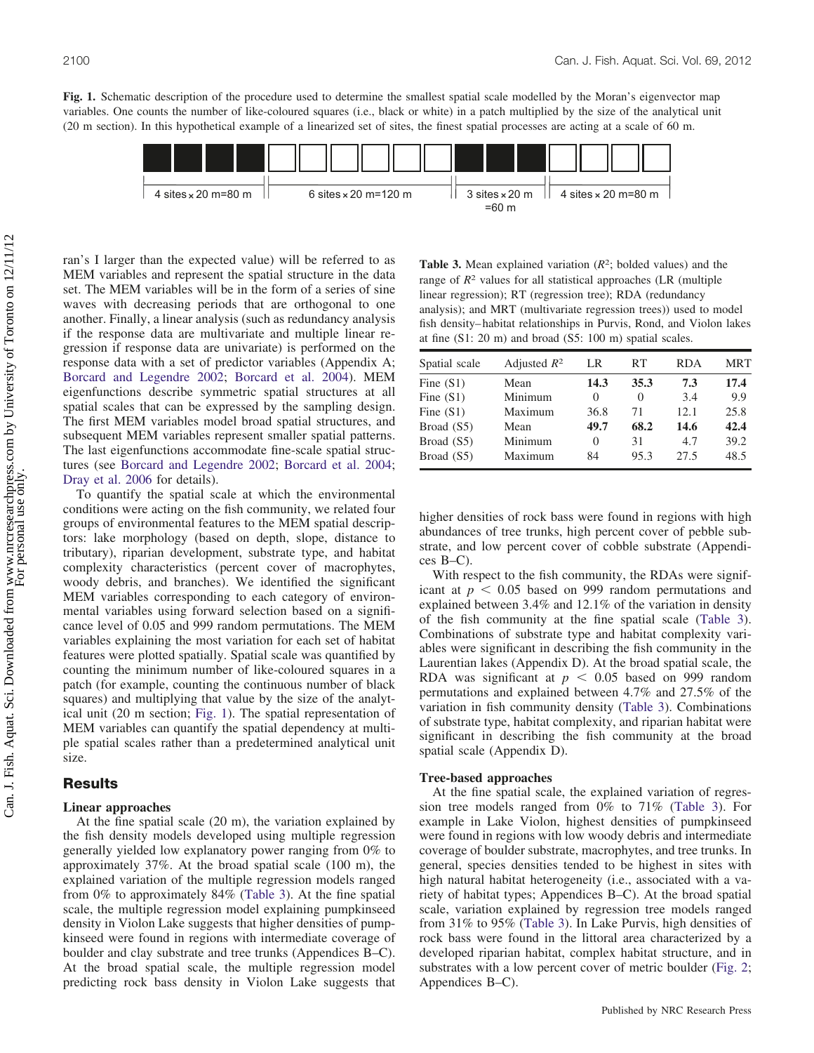<span id="page-5-0"></span>**Fig. 1.** Schematic description of the procedure used to determine the smallest spatial scale modelled by the Moran's eigenvector map variables. One counts the number of like-coloured squares (i.e., black or white) in a patch multiplied by the size of the analytical unit (20 m section). In this hypothetical example of a linearized set of sites, the finest spatial processes are acting at a scale of 60 m.



ran's I larger than the expected value) will be referred to as MEM variables and represent the spatial structure in the data set. The MEM variables will be in the form of a series of sine waves with decreasing periods that are orthogonal to one another. Finally, a linear analysis (such as redundancy analysis if the response data are multivariate and multiple linear regression if response data are univariate) is performed on the response data with a set of predictor variables (Appendix A; [Borcard and Legendre 2002;](#page-10-3) [Borcard et al. 2004\)](#page-10-4). MEM eigenfunctions describe symmetric spatial structures at all spatial scales that can be expressed by the sampling design. The first MEM variables model broad spatial structures, and subsequent MEM variables represent smaller spatial patterns. The last eigenfunctions accommodate fine-scale spatial structures (see [Borcard and Legendre 2002;](#page-10-3) [Borcard et al. 2004;](#page-10-4) [Dray et al. 2006](#page-10-5) for details).

To quantify the spatial scale at which the environmental conditions were acting on the fish community, we related four groups of environmental features to the MEM spatial descriptors: lake morphology (based on depth, slope, distance to tributary), riparian development, substrate type, and habitat complexity characteristics (percent cover of macrophytes, woody debris, and branches). We identified the significant MEM variables corresponding to each category of environmental variables using forward selection based on a significance level of 0.05 and 999 random permutations. The MEM variables explaining the most variation for each set of habitat features were plotted spatially. Spatial scale was quantified by counting the minimum number of like-coloured squares in a patch (for example, counting the continuous number of black squares) and multiplying that value by the size of the analytical unit (20 m section; [Fig. 1\)](#page-5-0). The spatial representation of MEM variables can quantify the spatial dependency at multiple spatial scales rather than a predetermined analytical unit size.

### **Results**

#### **Linear approaches**

At the fine spatial scale (20 m), the variation explained by the fish density models developed using multiple regression generally yielded low explanatory power ranging from 0% to approximately 37%. At the broad spatial scale (100 m), the explained variation of the multiple regression models ranged from 0% to approximately 84% [\(Table 3\)](#page-5-1). At the fine spatial scale, the multiple regression model explaining pumpkinseed density in Violon Lake suggests that higher densities of pumpkinseed were found in regions with intermediate coverage of boulder and clay substrate and tree trunks (Appendices B–C). At the broad spatial scale, the multiple regression model predicting rock bass density in Violon Lake suggests that

<span id="page-5-1"></span>**Table 3.** Mean explained variation (*R*2; bolded values) and the range of *R*<sup>2</sup> values for all statistical approaches (LR (multiple linear regression); RT (regression tree); RDA (redundancy analysis); and MRT (multivariate regression trees)) used to model fish density–habitat relationships in Purvis, Rond, and Violon lakes at fine (S1: 20 m) and broad (S5: 100 m) spatial scales.

| Spatial scale | Adjusted $R^2$ | LR       | RT       | RDA  | <b>MRT</b> |
|---------------|----------------|----------|----------|------|------------|
| Fine $(S1)$   | Mean           | 14.3     | 35.3     | 7.3  | 17.4       |
| Fine $(S1)$   | Minimum        | $\theta$ | $\theta$ | 3.4  | 9.9        |
| Fine $(S1)$   | Maximum        | 36.8     | 71       | 12.1 | 25.8       |
| Broad (S5)    | Mean           | 49.7     | 68.2     | 14.6 | 42.4       |
| Broad (S5)    | Minimum        | 0        | 31       | 4.7  | 39.2       |
| Broad (S5)    | Maximum        | 84       | 95.3     | 27.5 | 48.5       |

higher densities of rock bass were found in regions with high abundances of tree trunks, high percent cover of pebble substrate, and low percent cover of cobble substrate (Appendices B–C).

With respect to the fish community, the RDAs were significant at  $p < 0.05$  based on 999 random permutations and explained between 3.4% and 12.1% of the variation in density of the fish community at the fine spatial scale [\(Table 3\)](#page-5-1). Combinations of substrate type and habitat complexity variables were significant in describing the fish community in the Laurentian lakes (Appendix D). At the broad spatial scale, the RDA was significant at  $p < 0.05$  based on 999 random permutations and explained between 4.7% and 27.5% of the variation in fish community density [\(Table 3\)](#page-5-1). Combinations of substrate type, habitat complexity, and riparian habitat were significant in describing the fish community at the broad spatial scale (Appendix D).

#### **Tree-based approaches**

At the fine spatial scale, the explained variation of regression tree models ranged from 0% to 71% [\(Table 3\)](#page-5-1). For example in Lake Violon, highest densities of pumpkinseed were found in regions with low woody debris and intermediate coverage of boulder substrate, macrophytes, and tree trunks. In general, species densities tended to be highest in sites with high natural habitat heterogeneity (i.e., associated with a variety of habitat types; Appendices B–C). At the broad spatial scale, variation explained by regression tree models ranged from 31% to 95% [\(Table 3\)](#page-5-1). In Lake Purvis, high densities of rock bass were found in the littoral area characterized by a developed riparian habitat, complex habitat structure, and in substrates with a low percent cover of metric boulder [\(Fig. 2;](#page-6-0) Appendices B–C).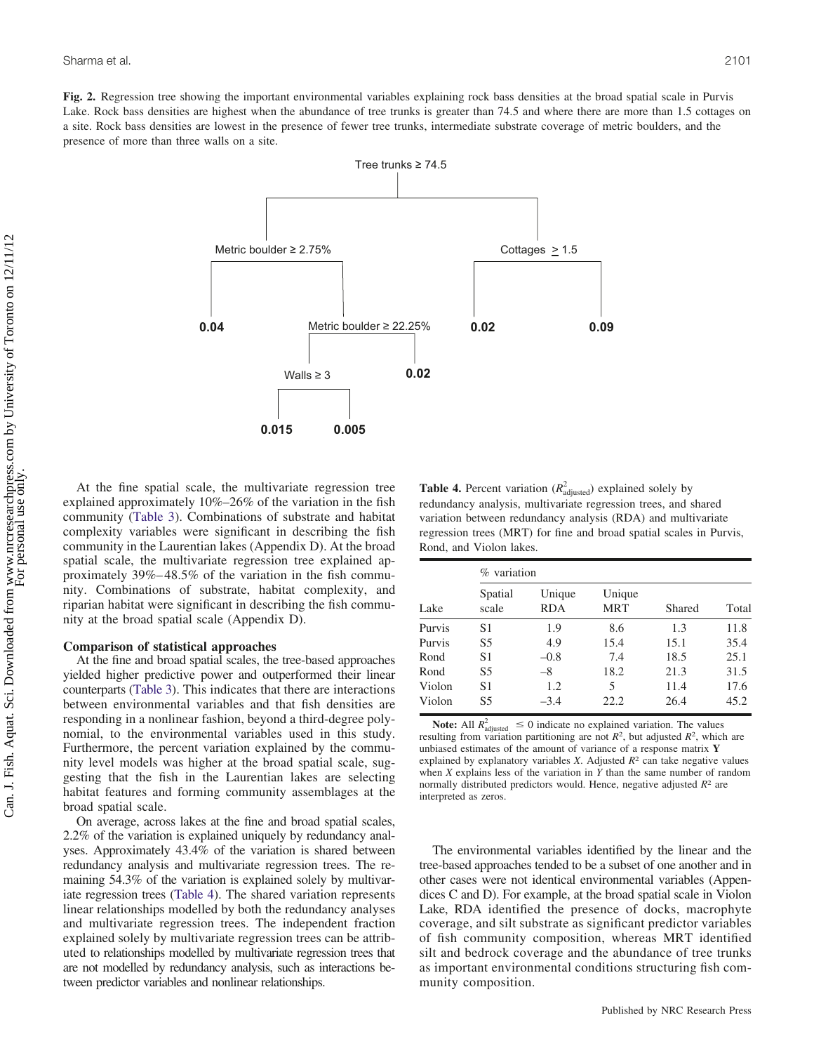<span id="page-6-0"></span>**Fig. 2.** Regression tree showing the important environmental variables explaining rock bass densities at the broad spatial scale in Purvis Lake. Rock bass densities are highest when the abundance of tree trunks is greater than 74.5 and where there are more than 1.5 cottages on a site. Rock bass densities are lowest in the presence of fewer tree trunks, intermediate substrate coverage of metric boulders, and the presence of more than three walls on a site.



At the fine spatial scale, the multivariate regression tree explained approximately 10%–26% of the variation in the fish community [\(Table 3\)](#page-5-1). Combinations of substrate and habitat complexity variables were significant in describing the fish community in the Laurentian lakes (Appendix D). At the broad spatial scale, the multivariate regression tree explained approximately 39%–48.5% of the variation in the fish community. Combinations of substrate, habitat complexity, and riparian habitat were significant in describing the fish community at the broad spatial scale (Appendix D).

#### **Comparison of statistical approaches**

At the fine and broad spatial scales, the tree-based approaches yielded higher predictive power and outperformed their linear counterparts [\(Table 3\)](#page-5-1). This indicates that there are interactions between environmental variables and that fish densities are responding in a nonlinear fashion, beyond a third-degree polynomial, to the environmental variables used in this study. Furthermore, the percent variation explained by the community level models was higher at the broad spatial scale, suggesting that the fish in the Laurentian lakes are selecting habitat features and forming community assemblages at the broad spatial scale.

On average, across lakes at the fine and broad spatial scales, 2.2% of the variation is explained uniquely by redundancy analyses. Approximately 43.4% of the variation is shared between redundancy analysis and multivariate regression trees. The remaining 54.3% of the variation is explained solely by multivariate regression trees [\(Table 4\)](#page-6-1). The shared variation represents linear relationships modelled by both the redundancy analyses and multivariate regression trees. The independent fraction explained solely by multivariate regression trees can be attributed to relationships modelled by multivariate regression trees that are not modelled by redundancy analysis, such as interactions between predictor variables and nonlinear relationships.

<span id="page-6-1"></span>**Table 4.** Percent variation  $(R_{\text{adjusted}}^2)$  explained solely by redundancy analysis, multivariate regression trees, and shared variation between redundancy analysis (RDA) and multivariate regression trees (MRT) for fine and broad spatial scales in Purvis, Rond, and Violon lakes.

|        | % variation      |                      |                      |        |       |  |  |  |
|--------|------------------|----------------------|----------------------|--------|-------|--|--|--|
| Lake   | Spatial<br>scale | Unique<br><b>RDA</b> | Unique<br><b>MRT</b> | Shared | Total |  |  |  |
| Purvis | S1               | 1.9                  | 8.6                  | 1.3    | 11.8  |  |  |  |
| Purvis | S <sub>5</sub>   | 4.9                  | 15.4                 | 15.1   | 35.4  |  |  |  |
| Rond   | S1               | $-0.8$               | 7.4                  | 18.5   | 25.1  |  |  |  |
| Rond   | S5               | $-8$                 | 18.2                 | 21.3   | 31.5  |  |  |  |
| Violon | S1               | 1.2                  | 5                    | 11.4   | 17.6  |  |  |  |
| Violon | S5               | $-3.4$               | 22.2                 | 26.4   | 45.2  |  |  |  |

**Note:** All  $R_{\text{adjusted}}^2 \leq 0$  indicate no explained variation. The values resulting from variation partitioning are not  $R^2$ , but adjusted  $R^2$ , which are unbiased estimates of the amount of variance of a response matrix **Y** explained by explanatory variables  $X$ . Adjusted  $R^2$  can take negative values when *X* explains less of the variation in *Y* than the same number of random normally distributed predictors would. Hence, negative adjusted  $R<sup>2</sup>$  are interpreted as zeros.

The environmental variables identified by the linear and the tree-based approaches tended to be a subset of one another and in other cases were not identical environmental variables (Appendices C and D). For example, at the broad spatial scale in Violon Lake, RDA identified the presence of docks, macrophyte coverage, and silt substrate as significant predictor variables of fish community composition, whereas MRT identified silt and bedrock coverage and the abundance of tree trunks as important environmental conditions structuring fish community composition.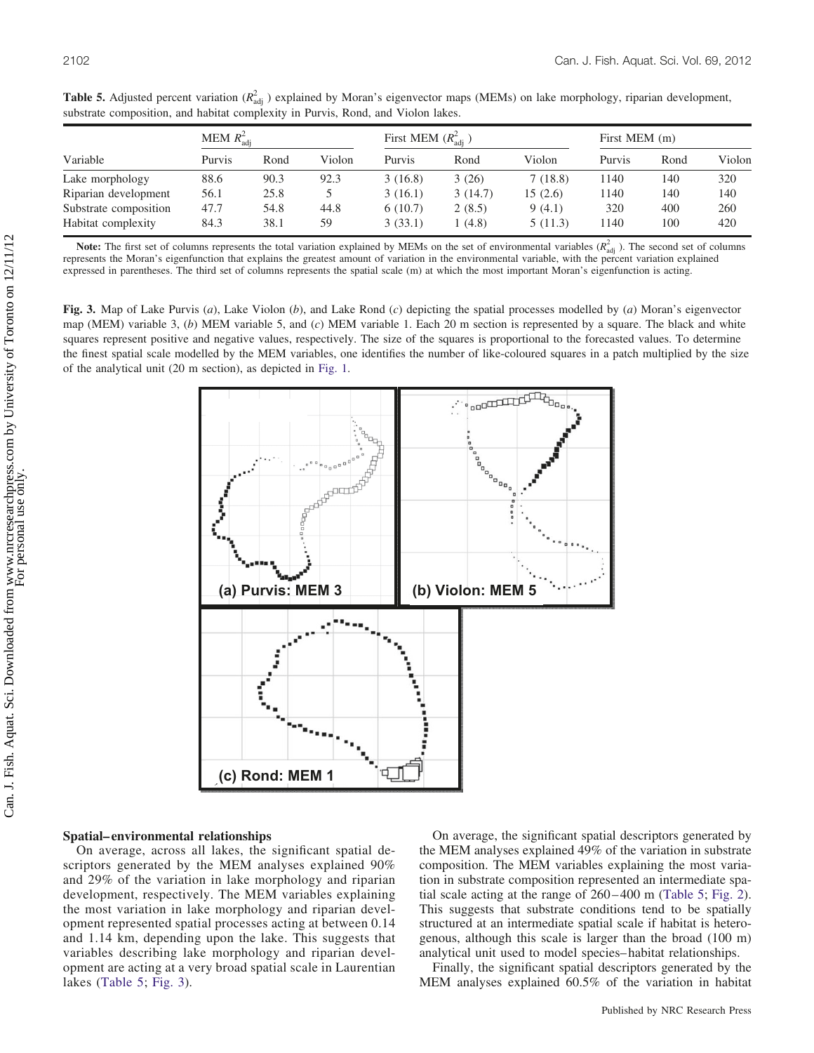|                                             | MEM $R_{\text{adi}}^2$ |              |            | First MEM $(R_{\text{adi}}^2)$ |                 |                   | First MEM (m) |            |            |
|---------------------------------------------|------------------------|--------------|------------|--------------------------------|-----------------|-------------------|---------------|------------|------------|
| Variable                                    | Purvis                 | Rond         | Violon     | Purvis                         | Rond            | Violon            | Purvis        | Rond       | Violon     |
| Lake morphology                             | 88.6                   | 90.3         | 92.3       | 3(16.8)                        | 3(26)           | 7(18.8)           | 140           | 140        | 320        |
| Riparian development                        | 56.1                   | 25.8         |            | 3(16.1)                        | 3(14.7)         | 15(2.6)           | 140           | 140        | 140        |
| Substrate composition<br>Habitat complexity | 47.7<br>84.3           | 54.8<br>38.1 | 44.8<br>59 | 6(10.7)<br>3(33.1)             | 2(8.5)<br>(4.8) | 9(4.1)<br>5(11.3) | 320<br>140    | 400<br>100 | 260<br>420 |

<span id="page-7-0"></span>**Table 5.** Adjusted percent variation ( $R_{\text{adj}}^2$ ) explained by Moran's eigenvector maps (MEMs) on lake morphology, riparian development, substrate composition, and habitat complexity in Purvis, Rond, and Violon lakes.

**Note:** The first set of columns represents the total variation explained by MEMs on the set of environmental variables  $(R<sup>2</sup><sub>adj</sub>$ ). The second set of columns represents the Moran's eigenfunction that explains the greatest amount of variation in the environmental variable, with the percent variation explained expressed in parentheses. The third set of columns represents the spatial scale (m) at which the most important Moran's eigenfunction is acting.

<span id="page-7-1"></span>**Fig. 3.** Map of Lake Purvis (*a*), Lake Violon (*b*), and Lake Rond (*c*) depicting the spatial processes modelled by (*a*) Moran's eigenvector map (MEM) variable 3, (*b*) MEM variable 5, and (*c*) MEM variable 1. Each 20 m section is represented by a square. The black and white squares represent positive and negative values, respectively. The size of the squares is proportional to the forecasted values. To determine the finest spatial scale modelled by the MEM variables, one identifies the number of like-coloured squares in a patch multiplied by the size of the analytical unit (20 m section), as depicted in [Fig. 1.](#page-5-0)



#### **Spatial–environmental relationships**

On average, across all lakes, the significant spatial descriptors generated by the MEM analyses explained 90% and 29% of the variation in lake morphology and riparian development, respectively. The MEM variables explaining the most variation in lake morphology and riparian development represented spatial processes acting at between 0.14 and 1.14 km, depending upon the lake. This suggests that variables describing lake morphology and riparian development are acting at a very broad spatial scale in Laurentian lakes [\(Table 5;](#page-7-0) [Fig. 3\)](#page-7-1).

On average, the significant spatial descriptors generated by the MEM analyses explained 49% of the variation in substrate composition. The MEM variables explaining the most variation in substrate composition represented an intermediate spatial scale acting at the range of 260–400 m [\(Table 5;](#page-7-0) [Fig. 2\)](#page-6-0). This suggests that substrate conditions tend to be spatially structured at an intermediate spatial scale if habitat is heterogenous, although this scale is larger than the broad (100 m) analytical unit used to model species–habitat relationships.

Finally, the significant spatial descriptors generated by the MEM analyses explained 60.5% of the variation in habitat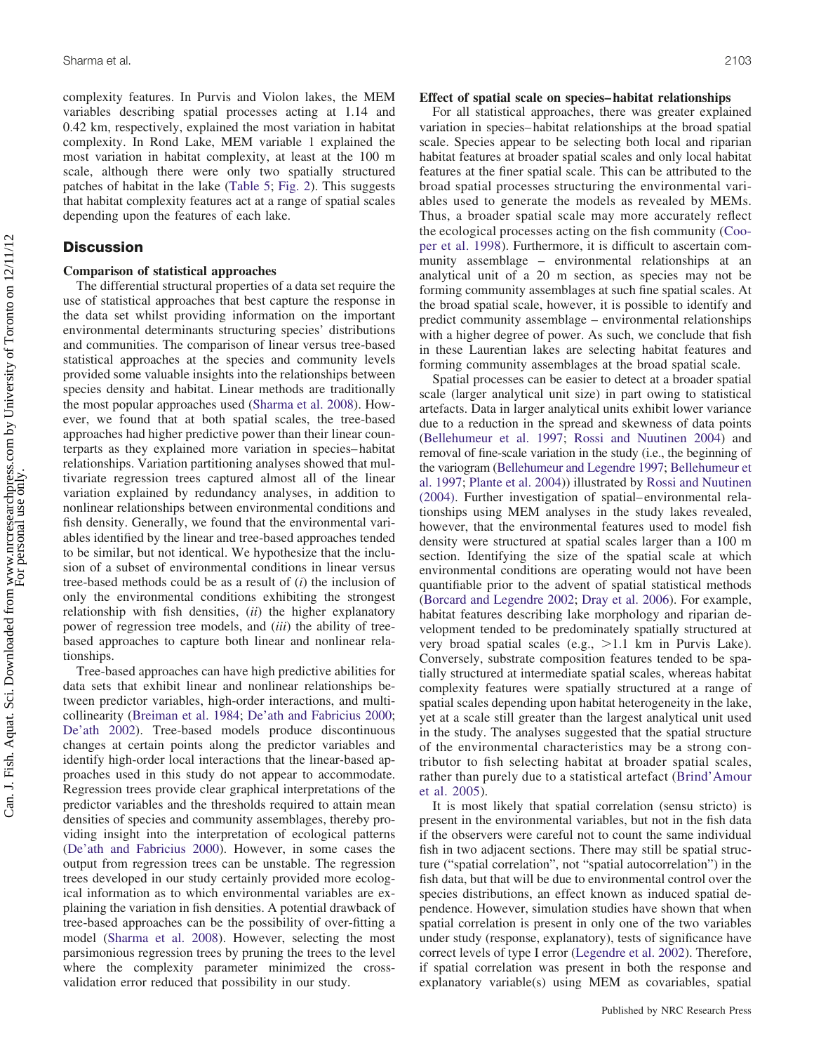Sharma et al. 2103

complexity features. In Purvis and Violon lakes, the MEM variables describing spatial processes acting at 1.14 and 0.42 km, respectively, explained the most variation in habitat complexity. In Rond Lake, MEM variable 1 explained the most variation in habitat complexity, at least at the 100 m scale, although there were only two spatially structured patches of habitat in the lake [\(Table 5;](#page-7-0) [Fig. 2\)](#page-6-0). This suggests that habitat complexity features act at a range of spatial scales depending upon the features of each lake.

### **Discussion**

#### **Comparison of statistical approaches**

The differential structural properties of a data set require the use of statistical approaches that best capture the response in the data set whilst providing information on the important environmental determinants structuring species' distributions and communities. The comparison of linear versus tree-based statistical approaches at the species and community levels provided some valuable insights into the relationships between species density and habitat. Linear methods are traditionally the most popular approaches used [\(Sharma et al. 2008\)](#page-12-7). However, we found that at both spatial scales, the tree-based approaches had higher predictive power than their linear counterparts as they explained more variation in species–habitat relationships. Variation partitioning analyses showed that multivariate regression trees captured almost all of the linear variation explained by redundancy analyses, in addition to nonlinear relationships between environmental conditions and fish density. Generally, we found that the environmental variables identified by the linear and tree-based approaches tended to be similar, but not identical. We hypothesize that the inclusion of a subset of environmental conditions in linear versus tree-based methods could be as a result of (*i*) the inclusion of only the environmental conditions exhibiting the strongest relationship with fish densities, (*ii*) the higher explanatory power of regression tree models, and (*iii*) the ability of treebased approaches to capture both linear and nonlinear relationships.

Tree-based approaches can have high predictive abilities for data sets that exhibit linear and nonlinear relationships between predictor variables, high-order interactions, and multicollinearity [\(Breiman et al. 1984;](#page-10-13) [De'ath and Fabricius 2000;](#page-10-14) [De'ath 2002\)](#page-10-15). Tree-based models produce discontinuous changes at certain points along the predictor variables and identify high-order local interactions that the linear-based approaches used in this study do not appear to accommodate. Regression trees provide clear graphical interpretations of the predictor variables and the thresholds required to attain mean densities of species and community assemblages, thereby providing insight into the interpretation of ecological patterns [\(De'ath and Fabricius 2000\)](#page-10-14). However, in some cases the output from regression trees can be unstable. The regression trees developed in our study certainly provided more ecological information as to which environmental variables are explaining the variation in fish densities. A potential drawback of tree-based approaches can be the possibility of over-fitting a model [\(Sharma et al. 2008\)](#page-12-7). However, selecting the most parsimonious regression trees by pruning the trees to the level where the complexity parameter minimized the crossvalidation error reduced that possibility in our study.

#### **Effect of spatial scale on species–habitat relationships**

For all statistical approaches, there was greater explained variation in species–habitat relationships at the broad spatial scale. Species appear to be selecting both local and riparian habitat features at broader spatial scales and only local habitat features at the finer spatial scale. This can be attributed to the broad spatial processes structuring the environmental variables used to generate the models as revealed by MEMs. Thus, a broader spatial scale may more accurately reflect the ecological processes acting on the fish community [\(Coo](#page-10-25)[per et al. 1998\)](#page-10-25). Furthermore, it is difficult to ascertain community assemblage – environmental relationships at an analytical unit of a 20 m section, as species may not be forming community assemblages at such fine spatial scales. At the broad spatial scale, however, it is possible to identify and predict community assemblage – environmental relationships with a higher degree of power. As such, we conclude that fish in these Laurentian lakes are selecting habitat features and forming community assemblages at the broad spatial scale.

Spatial processes can be easier to detect at a broader spatial scale (larger analytical unit size) in part owing to statistical artefacts. Data in larger analytical units exhibit lower variance due to a reduction in the spread and skewness of data points [\(Bellehumeur et al. 1997;](#page-10-26) [Rossi and Nuutinen 2004\)](#page-12-11) and removal of fine-scale variation in the study (i.e., the beginning of the variogram [\(Bellehumeur and Legendre 1997;](#page-10-27) [Bellehumeur et](#page-10-26) [al. 1997;](#page-10-26) [Plante et al. 2004\)](#page-11-1)) illustrated by [Rossi and Nuutinen](#page-12-11) [\(2004\).](#page-12-11) Further investigation of spatial–environmental relationships using MEM analyses in the study lakes revealed, however, that the environmental features used to model fish density were structured at spatial scales larger than a 100 m section. Identifying the size of the spatial scale at which environmental conditions are operating would not have been quantifiable prior to the advent of spatial statistical methods [\(Borcard and Legendre 2002;](#page-10-3) [Dray et al. 2006\)](#page-10-5). For example, habitat features describing lake morphology and riparian development tended to be predominately spatially structured at very broad spatial scales (e.g.,  $>1.1$  km in Purvis Lake). Conversely, substrate composition features tended to be spatially structured at intermediate spatial scales, whereas habitat complexity features were spatially structured at a range of spatial scales depending upon habitat heterogeneity in the lake, yet at a scale still greater than the largest analytical unit used in the study. The analyses suggested that the spatial structure of the environmental characteristics may be a strong contributor to fish selecting habitat at broader spatial scales, rather than purely due to a statistical artefact [\(Brind'Amour](#page-10-2) [et al. 2005\)](#page-10-2).

It is most likely that spatial correlation (sensu stricto) is present in the environmental variables, but not in the fish data if the observers were careful not to count the same individual fish in two adjacent sections. There may still be spatial structure ("spatial correlation", not "spatial autocorrelation") in the fish data, but that will be due to environmental control over the species distributions, an effect known as induced spatial dependence. However, simulation studies have shown that when spatial correlation is present in only one of the two variables under study (response, explanatory), tests of significance have correct levels of type I error [\(Legendre et al. 2002\)](#page-11-27). Therefore, if spatial correlation was present in both the response and explanatory variable(s) using MEM as covariables, spatial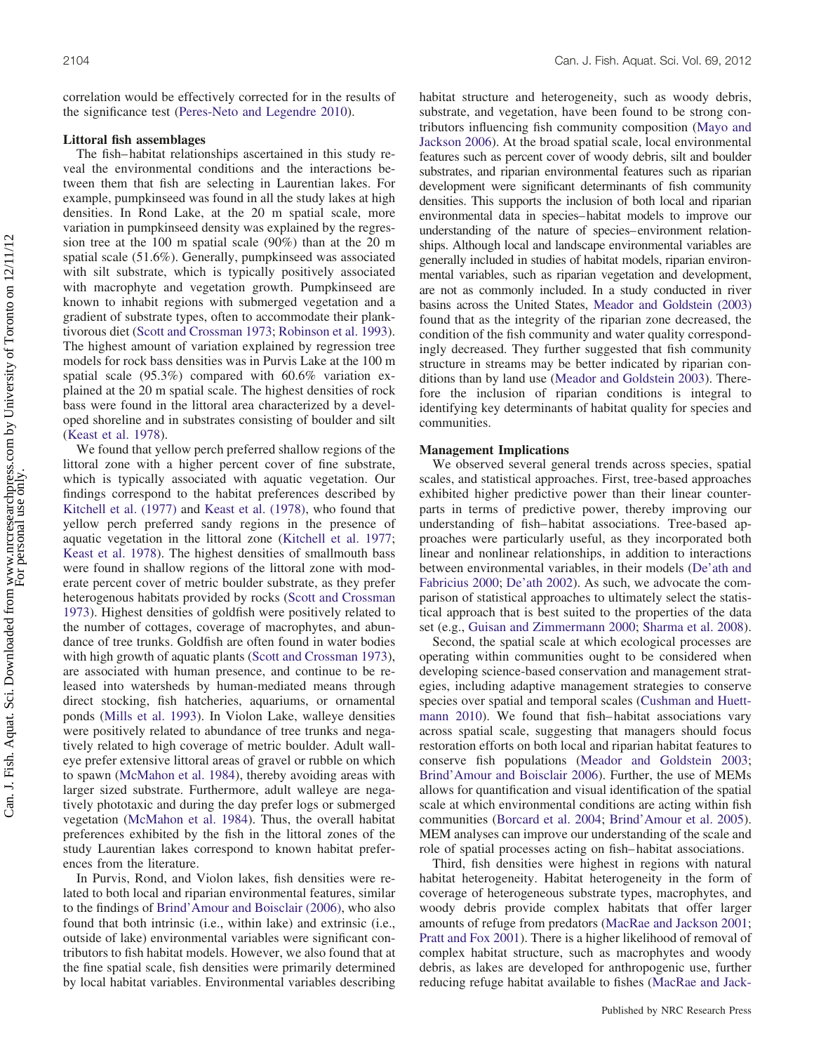correlation would be effectively corrected for in the results of the significance test [\(Peres-Neto and Legendre 2010\)](#page-11-28).

#### **Littoral fish assemblages**

The fish–habitat relationships ascertained in this study reveal the environmental conditions and the interactions between them that fish are selecting in Laurentian lakes. For example, pumpkinseed was found in all the study lakes at high densities. In Rond Lake, at the 20 m spatial scale, more variation in pumpkinseed density was explained by the regression tree at the 100 m spatial scale (90%) than at the 20 m spatial scale (51.6%). Generally, pumpkinseed was associated with silt substrate, which is typically positively associated with macrophyte and vegetation growth. Pumpkinseed are known to inhabit regions with submerged vegetation and a gradient of substrate types, often to accommodate their planktivorous diet [\(Scott and Crossman 1973;](#page-12-12) [Robinson et al. 1993\)](#page-12-13). The highest amount of variation explained by regression tree models for rock bass densities was in Purvis Lake at the 100 m spatial scale (95.3%) compared with 60.6% variation explained at the 20 m spatial scale. The highest densities of rock bass were found in the littoral area characterized by a developed shoreline and in substrates consisting of boulder and silt [\(Keast et al. 1978\)](#page-11-29).

We found that yellow perch preferred shallow regions of the littoral zone with a higher percent cover of fine substrate, which is typically associated with aquatic vegetation. Our findings correspond to the habitat preferences described by [Kitchell et al. \(1977\)](#page-11-30) and [Keast et al. \(1978\),](#page-11-29) who found that yellow perch preferred sandy regions in the presence of aquatic vegetation in the littoral zone [\(Kitchell et al. 1977;](#page-11-30) [Keast et al. 1978\)](#page-11-29). The highest densities of smallmouth bass were found in shallow regions of the littoral zone with moderate percent cover of metric boulder substrate, as they prefer heterogenous habitats provided by rocks [\(Scott and Crossman](#page-12-12) [1973\)](#page-12-12). Highest densities of goldfish were positively related to the number of cottages, coverage of macrophytes, and abundance of tree trunks. Goldfish are often found in water bodies with high growth of aquatic plants [\(Scott and Crossman 1973\)](#page-12-12), are associated with human presence, and continue to be released into watersheds by human-mediated means through direct stocking, fish hatcheries, aquariums, or ornamental ponds [\(Mills et al. 1993\)](#page-11-31). In Violon Lake, walleye densities were positively related to abundance of tree trunks and negatively related to high coverage of metric boulder. Adult walleye prefer extensive littoral areas of gravel or rubble on which to spawn [\(McMahon et al. 1984\)](#page-11-32), thereby avoiding areas with larger sized substrate. Furthermore, adult walleye are negatively phototaxic and during the day prefer logs or submerged vegetation [\(McMahon et al. 1984\)](#page-11-32). Thus, the overall habitat preferences exhibited by the fish in the littoral zones of the study Laurentian lakes correspond to known habitat preferences from the literature.

In Purvis, Rond, and Violon lakes, fish densities were related to both local and riparian environmental features, similar to the findings of [Brind'Amour and Boisclair \(2006\),](#page-10-1) who also found that both intrinsic (i.e., within lake) and extrinsic (i.e., outside of lake) environmental variables were significant contributors to fish habitat models. However, we also found that at the fine spatial scale, fish densities were primarily determined by local habitat variables. Environmental variables describing habitat structure and heterogeneity, such as woody debris, substrate, and vegetation, have been found to be strong contributors influencing fish community composition [\(Mayo and](#page-11-3) [Jackson 2006\)](#page-11-3). At the broad spatial scale, local environmental features such as percent cover of woody debris, silt and boulder substrates, and riparian environmental features such as riparian development were significant determinants of fish community densities. This supports the inclusion of both local and riparian environmental data in species–habitat models to improve our understanding of the nature of species–environment relationships. Although local and landscape environmental variables are generally included in studies of habitat models, riparian environmental variables, such as riparian vegetation and development, are not as commonly included. In a study conducted in river basins across the United States, [Meador and Goldstein \(2003\)](#page-11-4) found that as the integrity of the riparian zone decreased, the condition of the fish community and water quality correspondingly decreased. They further suggested that fish community structure in streams may be better indicated by riparian conditions than by land use [\(Meador and Goldstein 2003\)](#page-11-4). Therefore the inclusion of riparian conditions is integral to identifying key determinants of habitat quality for species and communities.

#### **Management Implications**

We observed several general trends across species, spatial scales, and statistical approaches. First, tree-based approaches exhibited higher predictive power than their linear counterparts in terms of predictive power, thereby improving our understanding of fish–habitat associations. Tree-based approaches were particularly useful, as they incorporated both linear and nonlinear relationships, in addition to interactions between environmental variables, in their models [\(De'ath and](#page-10-14) [Fabricius 2000;](#page-10-14) [De'ath 2002\)](#page-10-15). As such, we advocate the comparison of statistical approaches to ultimately select the statistical approach that is best suited to the properties of the data set (e.g., [Guisan and Zimmermann 2000;](#page-11-12) [Sharma et al. 2008\)](#page-12-7).

Second, the spatial scale at which ecological processes are operating within communities ought to be considered when developing science-based conservation and management strategies, including adaptive management strategies to conserve species over spatial and temporal scales [\(Cushman and Huett](#page-10-28)[mann 2010\)](#page-10-28). We found that fish–habitat associations vary across spatial scale, suggesting that managers should focus restoration efforts on both local and riparian habitat features to conserve fish populations [\(Meador and Goldstein 2003;](#page-11-4) [Brind'Amour and Boisclair 2006\)](#page-10-1). Further, the use of MEMs allows for quantification and visual identification of the spatial scale at which environmental conditions are acting within fish communities [\(Borcard et al. 2004;](#page-10-4) [Brind'Amour et al. 2005\)](#page-10-2). MEM analyses can improve our understanding of the scale and role of spatial processes acting on fish–habitat associations.

Third, fish densities were highest in regions with natural habitat heterogeneity. Habitat heterogeneity in the form of coverage of heterogeneous substrate types, macrophytes, and woody debris provide complex habitats that offer larger amounts of refuge from predators [\(MacRae and Jackson 2001;](#page-11-2) [Pratt and Fox 2001\)](#page-12-14). There is a higher likelihood of removal of complex habitat structure, such as macrophytes and woody debris, as lakes are developed for anthropogenic use, further reducing refuge habitat available to fishes [\(MacRae and Jack-](#page-11-2)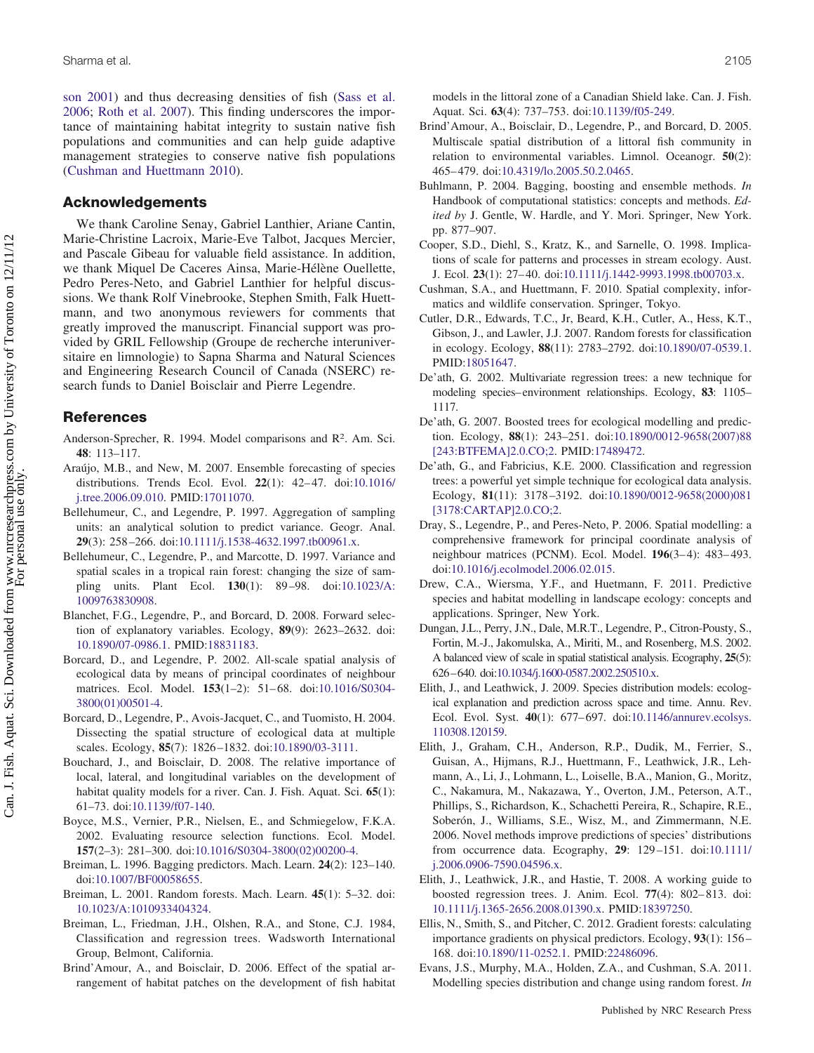[son 2001\)](#page-11-2) and thus decreasing densities of fish [\(Sass et al.](#page-12-15) [2006;](#page-12-15) [Roth et al. 2007\)](#page-12-16). This finding underscores the importance of maintaining habitat integrity to sustain native fish populations and communities and can help guide adaptive management strategies to conserve native fish populations [\(Cushman and Huettmann 2010\)](#page-10-28).

#### **Acknowledgements**

We thank Caroline Senay, Gabriel Lanthier, Ariane Cantin, Marie-Christine Lacroix, Marie-Eve Talbot, Jacques Mercier, and Pascale Gibeau for valuable field assistance. In addition, we thank Miquel De Caceres Ainsa, Marie-Hélène Ouellette, Pedro Peres-Neto, and Gabriel Lanthier for helpful discussions. We thank Rolf Vinebrooke, Stephen Smith, Falk Huettmann, and two anonymous reviewers for comments that greatly improved the manuscript. Financial support was provided by GRIL Fellowship (Groupe de recherche interuniversitaire en limnologie) to Sapna Sharma and Natural Sciences and Engineering Research Council of Canada (NSERC) research funds to Daniel Boisclair and Pierre Legendre.

### **References**

- <span id="page-10-23"></span>Anderson-Sprecher, R. 1994. Model comparisons and R<sup>2</sup>. Am. Sci. **48**: 113–117.
- <span id="page-10-7"></span>Araújo, M.B., and New, M. 2007. Ensemble forecasting of species distributions. Trends Ecol. Evol. **22**(1): 42–47. doi[:10.1016/](http://dx.doi.org/10.1016/j.tree.2006.09.010) [j.tree.2006.09.010.](http://dx.doi.org/10.1016/j.tree.2006.09.010) PMID[:17011070.](http://www.ncbi.nlm.nih.gov/pubmed/17011070)
- <span id="page-10-27"></span>Bellehumeur, C., and Legendre, P. 1997. Aggregation of sampling units: an analytical solution to predict variance. Geogr. Anal. **29**(3): 258–266. doi[:10.1111/j.1538-4632.1997.tb00961.x.](http://dx.doi.org/10.1111/j.1538-4632.1997.tb00961.x)
- <span id="page-10-26"></span>Bellehumeur, C., Legendre, P., and Marcotte, D. 1997. Variance and spatial scales in a tropical rain forest: changing the size of sampling units. Plant Ecol. **130**(1): 89–98. doi[:10.1023/A:](http://dx.doi.org/10.1023/A%3A1009763830908) [1009763830908.](http://dx.doi.org/10.1023/A%3A1009763830908)
- <span id="page-10-24"></span>Blanchet, F.G., Legendre, P., and Borcard, D. 2008. Forward selection of explanatory variables. Ecology, **89**(9): 2623–2632. doi: [10.1890/07-0986.1.](http://dx.doi.org/10.1890/07-0986.1) PMID[:18831183.](http://www.ncbi.nlm.nih.gov/pubmed/18831183)
- <span id="page-10-3"></span>Borcard, D., and Legendre, P. 2002. All-scale spatial analysis of ecological data by means of principal coordinates of neighbour matrices. Ecol. Model. **153**(1–2): 51–68. doi[:10.1016/S0304-](http://dx.doi.org/10.1016/S0304-3800(01)00501-4) [3800\(01\)00501-4.](http://dx.doi.org/10.1016/S0304-3800(01)00501-4)
- <span id="page-10-4"></span>Borcard, D., Legendre, P., Avois-Jacquet, C., and Tuomisto, H. 2004. Dissecting the spatial structure of ecological data at multiple scales. Ecology, **85**(7): 1826–1832. doi[:10.1890/03-3111.](http://dx.doi.org/10.1890/03-3111)
- <span id="page-10-22"></span>Bouchard, J., and Boisclair, D. 2008. The relative importance of local, lateral, and longitudinal variables on the development of habitat quality models for a river. Can. J. Fish. Aquat. Sci. **65**(1): 61–73. doi[:10.1139/f07-140.](http://dx.doi.org/10.1139/f07-140)
- <span id="page-10-6"></span>Boyce, M.S., Vernier, P.R., Nielsen, E., and Schmiegelow, F.K.A. 2002. Evaluating resource selection functions. Ecol. Model. **157**(2–3): 281–300. doi[:10.1016/S0304-3800\(02\)00200-4.](http://dx.doi.org/10.1016/S0304-3800(02)00200-4)
- <span id="page-10-19"></span>Breiman, L. 1996. Bagging predictors. Mach. Learn. **24**(2): 123–140. doi[:10.1007/BF00058655.](http://dx.doi.org/10.1007/BF00058655)
- <span id="page-10-20"></span>Breiman, L. 2001. Random forests. Mach. Learn. **45**(1): 5–32. doi: [10.1023/A:1010933404324.](http://dx.doi.org/10.1023/A%3A1010933404324)
- <span id="page-10-13"></span>Breiman, L., Friedman, J.H., Olshen, R.A., and Stone, C.J. 1984, Classification and regression trees. Wadsworth International Group, Belmont, California.
- <span id="page-10-1"></span>Brind'Amour, A., and Boisclair, D. 2006. Effect of the spatial arrangement of habitat patches on the development of fish habitat

models in the littoral zone of a Canadian Shield lake. Can. J. Fish. Aquat. Sci. **63**(4): 737–753. doi[:10.1139/f05-249.](http://dx.doi.org/10.1139/f05-249)

- <span id="page-10-2"></span>Brind'Amour, A., Boisclair, D., Legendre, P., and Borcard, D. 2005. Multiscale spatial distribution of a littoral fish community in relation to environmental variables. Limnol. Oceanogr. **50**(2): 465–479. doi[:10.4319/lo.2005.50.2.0465.](http://dx.doi.org/10.4319/lo.2005.50.2.0465)
- <span id="page-10-17"></span>Buhlmann, P. 2004. Bagging, boosting and ensemble methods. *In* Handbook of computational statistics: concepts and methods. *Edited by* J. Gentle, W. Hardle, and Y. Mori. Springer, New York. pp. 877–907.
- <span id="page-10-25"></span>Cooper, S.D., Diehl, S., Kratz, K., and Sarnelle, O. 1998. Implications of scale for patterns and processes in stream ecology. Aust. J. Ecol. **23**(1): 27–40. doi[:10.1111/j.1442-9993.1998.tb00703.x.](http://dx.doi.org/10.1111/j.1442-9993.1998.tb00703.x)
- <span id="page-10-28"></span>Cushman, S.A., and Huettmann, F. 2010. Spatial complexity, informatics and wildlife conservation. Springer, Tokyo.
- <span id="page-10-10"></span>Cutler, D.R., Edwards, T.C., Jr, Beard, K.H., Cutler, A., Hess, K.T., Gibson, J., and Lawler, J.J. 2007. Random forests for classification in ecology. Ecology, **88**(11): 2783–2792. doi[:10.1890/07-0539.1.](http://dx.doi.org/10.1890/07-0539.1) PMID[:18051647.](http://www.ncbi.nlm.nih.gov/pubmed/18051647)
- <span id="page-10-15"></span>De'ath, G. 2002. Multivariate regression trees: a new technique for modeling species–environment relationships. Ecology, **83**: 1105– 1117.
- <span id="page-10-16"></span>De'ath, G. 2007. Boosted trees for ecological modelling and prediction. Ecology, **88**(1): 243–251. doi[:10.1890/0012-9658\(2007\)88](http://dx.doi.org/10.1890/0012-9658(2007)88%5B243%3ABTFEMA%5D2.0.CO%3B2) [\[243:BTFEMA\]2.0.CO;2.](http://dx.doi.org/10.1890/0012-9658(2007)88%5B243%3ABTFEMA%5D2.0.CO%3B2) PMID[:17489472.](http://www.ncbi.nlm.nih.gov/pubmed/17489472)
- <span id="page-10-14"></span>De'ath, G., and Fabricius, K.E. 2000. Classification and regression trees: a powerful yet simple technique for ecological data analysis. Ecology, **81**(11): 3178–3192. doi[:10.1890/0012-9658\(2000\)081](http://dx.doi.org/10.1890/0012-9658(2000)081%5B3178%3ACARTAP%5D2.0.CO%3B2) [\[3178:CARTAP\]2.0.CO;2.](http://dx.doi.org/10.1890/0012-9658(2000)081%5B3178%3ACARTAP%5D2.0.CO%3B2)
- <span id="page-10-5"></span>Dray, S., Legendre, P., and Peres-Neto, P. 2006. Spatial modelling: a comprehensive framework for principal coordinate analysis of neighbour matrices (PCNM). Ecol. Model. **196**(3–4): 483–493. doi[:10.1016/j.ecolmodel.2006.02.015.](http://dx.doi.org/10.1016/j.ecolmodel.2006.02.015)
- <span id="page-10-11"></span>Drew, C.A., Wiersma, Y.F., and Huetmann, F. 2011. Predictive species and habitat modelling in landscape ecology: concepts and applications. Springer, New York.
- <span id="page-10-0"></span>Dungan, J.L., Perry, J.N., Dale, M.R.T., Legendre, P., Citron-Pousty, S., Fortin, M.-J., Jakomulska, A., Miriti, M., and Rosenberg, M.S. 2002. A balanced view of scale in spatial statistical analysis. Ecography, **25**(5): 626–640. doi[:10.1034/j.1600-0587.2002.250510.x.](http://dx.doi.org/10.1034/j.1600-0587.2002.250510.x)
- <span id="page-10-8"></span>Elith, J., and Leathwick, J. 2009. Species distribution models: ecological explanation and prediction across space and time. Annu. Rev. Ecol. Evol. Syst. **40**(1): 677–697. doi[:10.1146/annurev.ecolsys.](http://dx.doi.org/10.1146/annurev.ecolsys.110308.120159) [110308.120159.](http://dx.doi.org/10.1146/annurev.ecolsys.110308.120159)
- <span id="page-10-9"></span>Elith, J., Graham, C.H., Anderson, R.P., Dudik, M., Ferrier, S., Guisan, A., Hijmans, R.J., Huettmann, F., Leathwick, J.R., Lehmann, A., Li, J., Lohmann, L., Loiselle, B.A., Manion, G., Moritz, C., Nakamura, M., Nakazawa, Y., Overton, J.M., Peterson, A.T., Phillips, S., Richardson, K., Schachetti Pereira, R., Schapire, R.E., Soberón, J., Williams, S.E., Wisz, M., and Zimmermann, N.E. 2006. Novel methods improve predictions of species' distributions from occurrence data. Ecography, **29**: 129–151. doi[:10.1111/](http://dx.doi.org/10.1111/j.2006.0906-7590.04596.x) [j.2006.0906-7590.04596.x.](http://dx.doi.org/10.1111/j.2006.0906-7590.04596.x)
- <span id="page-10-18"></span>Elith, J., Leathwick, J.R., and Hastie, T. 2008. A working guide to boosted regression trees. J. Anim. Ecol. **77**(4): 802–813. doi: [10.1111/j.1365-2656.2008.01390.x.](http://dx.doi.org/10.1111/j.1365-2656.2008.01390.x) PMID[:18397250.](http://www.ncbi.nlm.nih.gov/pubmed/18397250)
- <span id="page-10-21"></span>Ellis, N., Smith, S., and Pitcher, C. 2012. Gradient forests: calculating importance gradients on physical predictors. Ecology, **93**(1): 156– 168. doi[:10.1890/11-0252.1.](http://dx.doi.org/10.1890/11-0252.1) PMID[:22486096.](http://www.ncbi.nlm.nih.gov/pubmed/22486096)
- <span id="page-10-12"></span>Evans, J.S., Murphy, M.A., Holden, Z.A., and Cushman, S.A. 2011. Modelling species distribution and change using random forest. *In*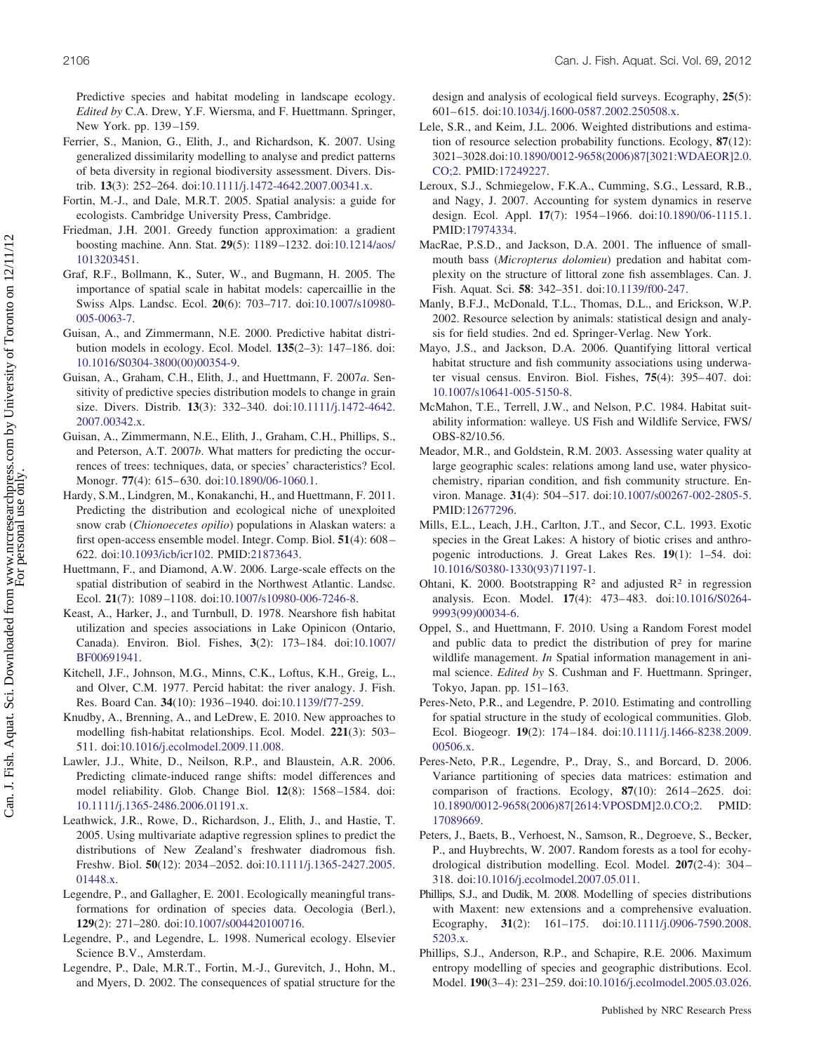<span id="page-11-1"></span>Predictive species and habitat modeling in landscape ecology. *Edited by* C.A. Drew, Y.F. Wiersma, and F. Huettmann. Springer, New York. pp. 139–159.

- <span id="page-11-11"></span>Ferrier, S., Manion, G., Elith, J., and Richardson, K. 2007. Using generalized dissimilarity modelling to analyse and predict patterns of beta diversity in regional biodiversity assessment. Divers. Distrib. **13**(3): 252–264. doi[:10.1111/j.1472-4642.2007.00341.x.](http://dx.doi.org/10.1111/j.1472-4642.2007.00341.x)
- <span id="page-11-5"></span>Fortin, M.-J., and Dale, M.R.T. 2005. Spatial analysis: a guide for ecologists. Cambridge University Press, Cambridge.
- <span id="page-11-21"></span>Friedman, J.H. 2001. Greedy function approximation: a gradient boosting machine. Ann. Stat. **29**(5): 1189–1232. doi[:10.1214/aos/](http://dx.doi.org/10.1214/aos/1013203451) [1013203451.](http://dx.doi.org/10.1214/aos/1013203451)
- <span id="page-11-6"></span>Graf, R.F., Bollmann, K., Suter, W., and Bugmann, H. 2005. The importance of spatial scale in habitat models: capercaillie in the Swiss Alps. Landsc. Ecol. **20**(6): 703–717. doi[:10.1007/s10980-](http://dx.doi.org/10.1007/s10980-005-0063-7) [005-0063-7.](http://dx.doi.org/10.1007/s10980-005-0063-7)
- <span id="page-11-12"></span>Guisan, A., and Zimmermann, N.E. 2000. Predictive habitat distribution models in ecology. Ecol. Model. **135**(2–3): 147–186. doi: [10.1016/S0304-3800\(00\)00354-9.](http://dx.doi.org/10.1016/S0304-3800(00)00354-9)
- <span id="page-11-8"></span>Guisan, A., Graham, C.H., Elith, J., and Huettmann, F. 2007*a*. Sensitivity of predictive species distribution models to change in grain size. Divers. Distrib. **13**(3): 332–340. doi[:10.1111/j.1472-4642.](http://dx.doi.org/10.1111/j.1472-4642.2007.00342.x) [2007.00342.x.](http://dx.doi.org/10.1111/j.1472-4642.2007.00342.x)
- <span id="page-11-14"></span>Guisan, A., Zimmermann, N.E., Elith, J., Graham, C.H., Phillips, S., and Peterson, A.T. 2007*b*. What matters for predicting the occurrences of trees: techniques, data, or species' characteristics? Ecol. Monogr. **77**(4): 615–630. doi[:10.1890/06-1060.1.](http://dx.doi.org/10.1890/06-1060.1)
- <span id="page-11-18"></span>Hardy, S.M., Lindgren, M., Konakanchi, H., and Huettmann, F. 2011. Predicting the distribution and ecological niche of unexploited snow crab (*Chionoecetes opilio*) populations in Alaskan waters: a first open-access ensemble model. Integr. Comp. Biol. **51**(4): 608– 622. doi[:10.1093/icb/icr102.](http://dx.doi.org/10.1093/icb/icr102) PMID[:21873643.](http://www.ncbi.nlm.nih.gov/pubmed/21873643)
- <span id="page-11-7"></span>Huettmann, F., and Diamond, A.W. 2006. Large-scale effects on the spatial distribution of seabird in the Northwest Atlantic. Landsc. Ecol. **21**(7): 1089–1108. doi[:10.1007/s10980-006-7246-8.](http://dx.doi.org/10.1007/s10980-006-7246-8)
- <span id="page-11-29"></span>Keast, A., Harker, J., and Turnbull, D. 1978. Nearshore fish habitat utilization and species associations in Lake Opinicon (Ontario, Canada). Environ. Biol. Fishes, **3**(2): 173–184. doi[:10.1007/](http://dx.doi.org/10.1007/BF00691941) [BF00691941.](http://dx.doi.org/10.1007/BF00691941)
- <span id="page-11-30"></span>Kitchell, J.F., Johnson, M.G., Minns, C.K., Loftus, K.H., Greig, L., and Olver, C.M. 1977. Percid habitat: the river analogy. J. Fish. Res. Board Can. **34**(10): 1936–1940. doi[:10.1139/f77-259.](http://dx.doi.org/10.1139/f77-259)
- <span id="page-11-16"></span>Knudby, A., Brenning, A., and LeDrew, E. 2010. New approaches to modelling fish-habitat relationships. Ecol. Model. **221**(3): 503– 511. doi[:10.1016/j.ecolmodel.2009.11.008.](http://dx.doi.org/10.1016/j.ecolmodel.2009.11.008)
- <span id="page-11-13"></span>Lawler, J.J., White, D., Neilson, R.P., and Blaustein, A.R. 2006. Predicting climate-induced range shifts: model differences and model reliability. Glob. Change Biol. **12**(8): 1568–1584. doi: [10.1111/j.1365-2486.2006.01191.x.](http://dx.doi.org/10.1111/j.1365-2486.2006.01191.x)
- <span id="page-11-22"></span>Leathwick, J.R., Rowe, D., Richardson, J., Elith, J., and Hastie, T. 2005. Using multivariate adaptive regression splines to predict the distributions of New Zealand's freshwater diadromous fish. Freshw. Biol. **50**(12): 2034–2052. doi[:10.1111/j.1365-2427.2005.](http://dx.doi.org/10.1111/j.1365-2427.2005.01448.x) [01448.x.](http://dx.doi.org/10.1111/j.1365-2427.2005.01448.x)
- <span id="page-11-23"></span>Legendre, P., and Gallagher, E. 2001. Ecologically meaningful transformations for ordination of species data. Oecologia (Berl.), **129**(2): 271–280. doi[:10.1007/s004420100716.](http://dx.doi.org/10.1007/s004420100716)
- <span id="page-11-24"></span>Legendre, P., and Legendre, L. 1998. Numerical ecology. Elsevier Science B.V., Amsterdam.
- <span id="page-11-27"></span>Legendre, P., Dale, M.R.T., Fortin, M.-J., Gurevitch, J., Hohn, M., and Myers, D. 2002. The consequences of spatial structure for the

design and analysis of ecological field surveys. Ecography, **25**(5): 601–615. doi[:10.1034/j.1600-0587.2002.250508.x.](http://dx.doi.org/10.1034/j.1600-0587.2002.250508.x)

- <span id="page-11-10"></span>Lele, S.R., and Keim, J.L. 2006. Weighted distributions and estimation of resource selection probability functions. Ecology, **87**(12): 3021–3028.doi[:10.1890/0012-9658\(2006\)87\[3021:WDAEOR\]2.0.](http://dx.doi.org/10.1890/0012-9658(2006)87%5B3021%3AWDAEOR%5D2.0.CO%3B2) [CO;2.](http://dx.doi.org/10.1890/0012-9658(2006)87%5B3021%3AWDAEOR%5D2.0.CO%3B2) PMID[:17249227.](http://www.ncbi.nlm.nih.gov/pubmed/17249227)
- <span id="page-11-0"></span>Leroux, S.J., Schmiegelow, F.K.A., Cumming, S.G., Lessard, R.B., and Nagy, J. 2007. Accounting for system dynamics in reserve design. Ecol. Appl. **17**(7): 1954–1966. doi[:10.1890/06-1115.1.](http://dx.doi.org/10.1890/06-1115.1) PMID[:17974334.](http://www.ncbi.nlm.nih.gov/pubmed/17974334)
- <span id="page-11-2"></span>MacRae, P.S.D., and Jackson, D.A. 2001. The influence of smallmouth bass (*Micropterus dolomieu*) predation and habitat complexity on the structure of littoral zone fish assemblages. Can. J. Fish. Aquat. Sci. **58**: 342–351. doi[:10.1139/f00-247.](http://dx.doi.org/10.1139/f00-247)
- <span id="page-11-9"></span>Manly, B.F.J., McDonald, T.L., Thomas, D.L., and Erickson, W.P. 2002. Resource selection by animals: statistical design and analysis for field studies. 2nd ed. Springer-Verlag. New York.
- <span id="page-11-3"></span>Mayo, J.S., and Jackson, D.A. 2006. Quantifying littoral vertical habitat structure and fish community associations using underwater visual census. Environ. Biol. Fishes, **75**(4): 395–407. doi: [10.1007/s10641-005-5150-8.](http://dx.doi.org/10.1007/s10641-005-5150-8)
- <span id="page-11-32"></span>McMahon, T.E., Terrell, J.W., and Nelson, P.C. 1984. Habitat suitability information: walleye. US Fish and Wildlife Service, FWS/ OBS-82/10.56.
- <span id="page-11-4"></span>Meador, M.R., and Goldstein, R.M. 2003. Assessing water quality at large geographic scales: relations among land use, water physicochemistry, riparian condition, and fish community structure. Environ. Manage. **31**(4): 504–517. doi[:10.1007/s00267-002-2805-5.](http://dx.doi.org/10.1007/s00267-002-2805-5) PMID[:12677296.](http://www.ncbi.nlm.nih.gov/pubmed/12677296)
- <span id="page-11-31"></span>Mills, E.L., Leach, J.H., Carlton, J.T., and Secor, C.L. 1993. Exotic species in the Great Lakes: A history of biotic crises and anthropogenic introductions. J. Great Lakes Res. **19**(1): 1–54. doi: [10.1016/S0380-1330\(93\)71197-1.](http://dx.doi.org/10.1016/S0380-1330(93)71197-1)
- <span id="page-11-25"></span>Ohtani, K. 2000. Bootstrapping  $\mathbb{R}^2$  and adjusted  $\mathbb{R}^2$  in regression analysis. Econ. Model. **17**(4): 473–483. doi[:10.1016/S0264-](http://dx.doi.org/10.1016/S0264-9993(99)00034-6) [9993\(99\)00034-6.](http://dx.doi.org/10.1016/S0264-9993(99)00034-6)
- <span id="page-11-17"></span>Oppel, S., and Huettmann, F. 2010. Using a Random Forest model and public data to predict the distribution of prey for marine wildlife management. *In* Spatial information management in animal science. *Edited by* S. Cushman and F. Huettmann. Springer, Tokyo, Japan. pp. 151–163.
- <span id="page-11-28"></span>Peres-Neto, P.R., and Legendre, P. 2010. Estimating and controlling for spatial structure in the study of ecological communities. Glob. Ecol. Biogeogr. **19**(2): 174–184. doi[:10.1111/j.1466-8238.2009.](http://dx.doi.org/10.1111/j.1466-8238.2009.00506.x) [00506.x.](http://dx.doi.org/10.1111/j.1466-8238.2009.00506.x)
- <span id="page-11-26"></span>Peres-Neto, P.R., Legendre, P., Dray, S., and Borcard, D. 2006. Variance partitioning of species data matrices: estimation and comparison of fractions. Ecology, **87**(10): 2614–2625. doi: [10.1890/0012-9658\(2006\)87\[2614:VPOSDM\]2.0.CO;2.](http://dx.doi.org/10.1890/0012-9658(2006)87%5B2614%3AVPOSDM%5D2.0.CO%3B2) PMID: [17089669.](http://www.ncbi.nlm.nih.gov/pubmed/17089669)
- <span id="page-11-15"></span>Peters, J., Baets, B., Verhoest, N., Samson, R., Degroeve, S., Becker, P., and Huybrechts, W. 2007. Random forests as a tool for ecohydrological distribution modelling. Ecol. Model. **207**(2-4): 304– 318. doi[:10.1016/j.ecolmodel.2007.05.011.](http://dx.doi.org/10.1016/j.ecolmodel.2007.05.011)
- <span id="page-11-20"></span>Phillips, S.J., and Dudik, M. 2008. Modelling of species distributions with Maxent: new extensions and a comprehensive evaluation. Ecography, **31**(2): 161–175. doi[:10.1111/j.0906-7590.2008.](http://dx.doi.org/10.1111/j.0906-7590.2008.5203.x) [5203.x.](http://dx.doi.org/10.1111/j.0906-7590.2008.5203.x)
- <span id="page-11-19"></span>Phillips, S.J., Anderson, R.P., and Schapire, R.E. 2006. Maximum entropy modelling of species and geographic distributions. Ecol. Model. **190**(3–4): 231–259. doi[:10.1016/j.ecolmodel.2005.03.026.](http://dx.doi.org/10.1016/j.ecolmodel.2005.03.026)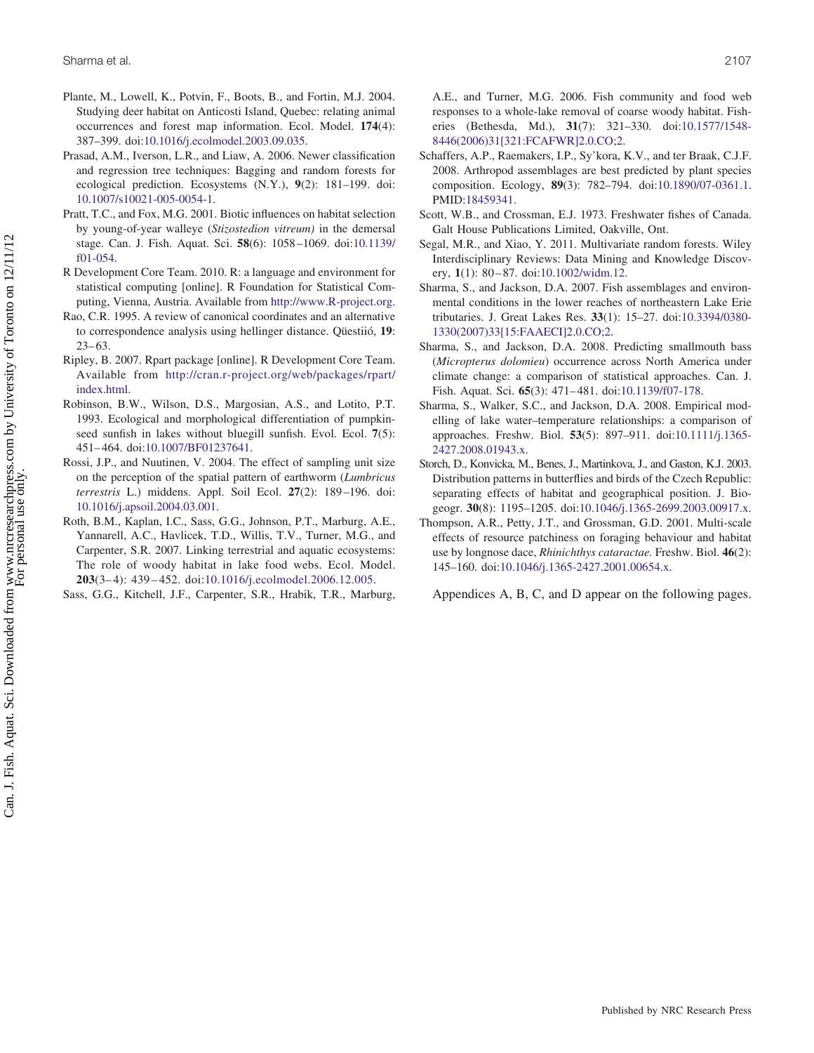- Plante, M., Lowell, K., Potvin, F., Boots, B., and Fortin, M.J. 2004. Studying deer habitat on Anticosti Island, Quebec: relating animal occurrences and forest map information. Ecol. Model. **174**(4): 387–399. doi[:10.1016/j.ecolmodel.2003.09.035.](http://dx.doi.org/10.1016/j.ecolmodel.2003.09.035)
- <span id="page-12-5"></span>Prasad, A.M., Iverson, L.R., and Liaw, A. 2006. Newer classification and regression tree techniques: Bagging and random forests for ecological prediction. Ecosystems (N.Y.), **9**(2): 181–199. doi: [10.1007/s10021-005-0054-1.](http://dx.doi.org/10.1007/s10021-005-0054-1)
- <span id="page-12-14"></span>Pratt, T.C., and Fox, M.G. 2001. Biotic influences on habitat selection by young-of-year walleye (*Stizostedion vitreum)* in the demersal stage. Can. J. Fish. Aquat. Sci. **58**(6): 1058–1069. doi[:10.1139/](http://dx.doi.org/10.1139/f01-054) [f01-054.](http://dx.doi.org/10.1139/f01-054)
- <span id="page-12-9"></span>R Development Core Team. 2010. R: a language and environment for statistical computing [online]. R Foundation for Statistical Computing, Vienna, Austria. Available from [http://www.R-project.org.](http://www.R-project.org)
- <span id="page-12-8"></span>Rao, C.R. 1995. A review of canonical coordinates and an alternative to correspondence analysis using hellinger distance. Qüestiió, **19**: 23–63.
- <span id="page-12-10"></span>Ripley, B. 2007. Rpart package [online]. R Development Core Team. Available from [http://cran.r-project.org/web/packages/rpart/](http://cran.r-project.org/web/packages/rpart/index.html) [index.html.](http://cran.r-project.org/web/packages/rpart/index.html)
- <span id="page-12-13"></span>Robinson, B.W., Wilson, D.S., Margosian, A.S., and Lotito, P.T. 1993. Ecological and morphological differentiation of pumpkinseed sunfish in lakes without bluegill sunfish. Evol. Ecol. **7**(5): 451–464. doi[:10.1007/BF01237641.](http://dx.doi.org/10.1007/BF01237641)
- <span id="page-12-11"></span>Rossi, J.P., and Nuutinen, V. 2004. The effect of sampling unit size on the perception of the spatial pattern of earthworm (*Lumbricus terrestris* L.) middens. Appl. Soil Ecol. **27**(2): 189–196. doi: [10.1016/j.apsoil.2004.03.001.](http://dx.doi.org/10.1016/j.apsoil.2004.03.001)
- <span id="page-12-16"></span>Roth, B.M., Kaplan, I.C., Sass, G.G., Johnson, P.T., Marburg, A.E., Yannarell, A.C., Havlicek, T.D., Willis, T.V., Turner, M.G., and Carpenter, S.R. 2007. Linking terrestrial and aquatic ecosystems: The role of woody habitat in lake food webs. Ecol. Model. **203**(3–4): 439–452. doi[:10.1016/j.ecolmodel.2006.12.005.](http://dx.doi.org/10.1016/j.ecolmodel.2006.12.005)

<span id="page-12-15"></span>Sass, G.G., Kitchell, J.F., Carpenter, S.R., Hrabik, T.R., Marburg,

A.E., and Turner, M.G. 2006. Fish community and food web responses to a whole-lake removal of coarse woody habitat. Fisheries (Bethesda, Md.), **31**(7): 321–330. doi[:10.1577/1548-](http://dx.doi.org/10.1577/1548-8446(2006)31%5B321%3AFCAFWR%5D2.0.CO%3B2) [8446\(2006\)31\[321:FCAFWR\]2.0.CO;2.](http://dx.doi.org/10.1577/1548-8446(2006)31%5B321%3AFCAFWR%5D2.0.CO%3B2)

- <span id="page-12-0"></span>Schaffers, A.P., Raemakers, I.P., Sy'kora, K.V., and ter Braak, C.J.F. 2008. Arthropod assemblages are best predicted by plant species composition. Ecology, **89**(3): 782–794. doi[:10.1890/07-0361.1.](http://dx.doi.org/10.1890/07-0361.1) PMID[:18459341.](http://www.ncbi.nlm.nih.gov/pubmed/18459341)
- <span id="page-12-12"></span>Scott, W.B., and Crossman, E.J. 1973. Freshwater fishes of Canada. Galt House Publications Limited, Oakville, Ont.
- <span id="page-12-6"></span>Segal, M.R., and Xiao, Y. 2011. Multivariate random forests. Wiley Interdisciplinary Reviews: Data Mining and Knowledge Discovery, **1**(1): 80–87. doi[:10.1002/widm.12.](http://dx.doi.org/10.1002/widm.12)
- <span id="page-12-2"></span>Sharma, S., and Jackson, D.A. 2007. Fish assemblages and environmental conditions in the lower reaches of northeastern Lake Erie tributaries. J. Great Lakes Res. **33**(1): 15–27. doi[:10.3394/0380-](http://dx.doi.org/10.3394/0380-1330(2007)33%5B15%3AFAAECI%5D2.0.CO%3B2) [1330\(2007\)33\[15:FAAECI\]2.0.CO;2.](http://dx.doi.org/10.3394/0380-1330(2007)33%5B15%3AFAAECI%5D2.0.CO%3B2)
- <span id="page-12-4"></span>Sharma, S., and Jackson, D.A. 2008. Predicting smallmouth bass (*Micropterus dolomieu*) occurrence across North America under climate change: a comparison of statistical approaches. Can. J. Fish. Aquat. Sci. **65**(3): 471–481. doi[:10.1139/f07-178.](http://dx.doi.org/10.1139/f07-178)
- <span id="page-12-7"></span>Sharma, S., Walker, S.C., and Jackson, D.A. 2008. Empirical modelling of lake water–temperature relationships: a comparison of approaches. Freshw. Biol. **53**(5): 897–911. doi[:10.1111/j.1365-](http://dx.doi.org/10.1111/j.1365-2427.2008.01943.x) [2427.2008.01943.x.](http://dx.doi.org/10.1111/j.1365-2427.2008.01943.x)
- <span id="page-12-1"></span>Storch, D., Konvicka, M., Benes, J., Martinkova, J., and Gaston, K.J. 2003. Distribution patterns in butterflies and birds of the Czech Republic: separating effects of habitat and geographical position. J. Biogeogr. **30**(8): 1195–1205. doi[:10.1046/j.1365-2699.2003.00917.x.](http://dx.doi.org/10.1046/j.1365-2699.2003.00917.x)
- <span id="page-12-3"></span>Thompson, A.R., Petty, J.T., and Grossman, G.D. 2001. Multi-scale effects of resource patchiness on foraging behaviour and habitat use by longnose dace, *Rhinichthys cataractae.* Freshw. Biol. **46**(2): 145–160. doi[:10.1046/j.1365-2427.2001.00654.x.](http://dx.doi.org/10.1046/j.1365-2427.2001.00654.x)

Appendices A, B, C, and D appear on the following pages.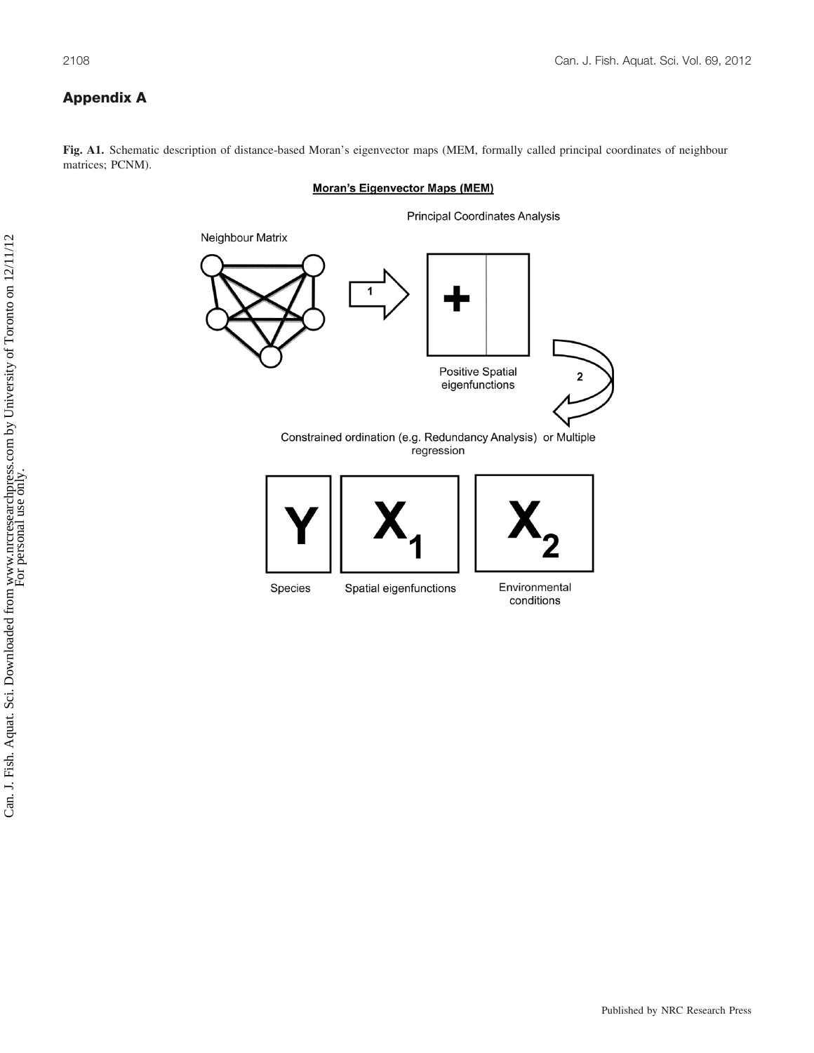# **Appendix A**

**Fig. A1.** Schematic description of distance-based Moran's eigenvector maps (MEM, formally called principal coordinates of neighbour matrices; PCNM).

### **Moran's Eigenvector Maps (MEM)**

**Principal Coordinates Analysis** 



Species

Spatial eigenfunctions

Environmental conditions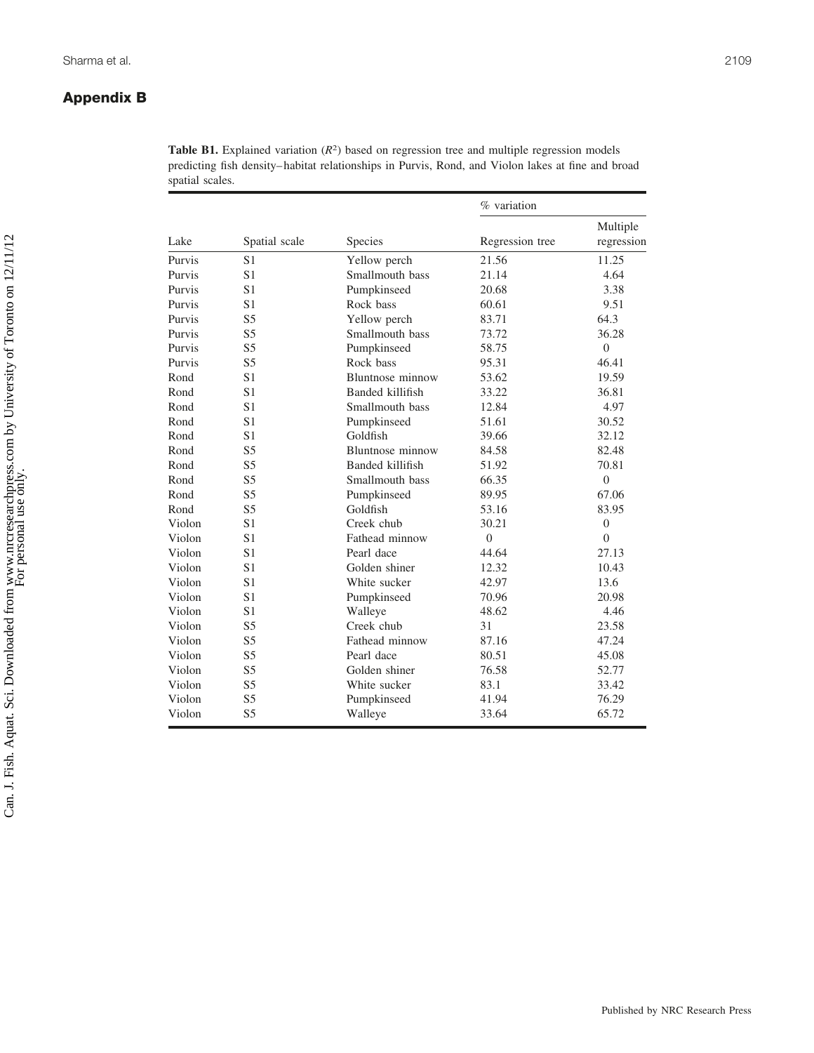# **Appendix B**

|        |                |                         | % variation     |                |
|--------|----------------|-------------------------|-----------------|----------------|
|        |                |                         |                 | Multiple       |
| Lake   | Spatial scale  | Species                 | Regression tree | regression     |
| Purvis | S <sub>1</sub> | Yellow perch            | 21.56           | 11.25          |
| Purvis | S <sub>1</sub> | Smallmouth bass         | 21.14           | 4.64           |
| Purvis | S1             | Pumpkinseed             | 20.68           | 3.38           |
| Purvis | S <sub>1</sub> | Rock bass               | 60.61           | 9.51           |
| Purvis | S5             | Yellow perch            | 83.71           | 64.3           |
| Purvis | S <sub>5</sub> | Smallmouth bass         | 73.72           | 36.28          |
| Purvis | S <sub>5</sub> | Pumpkinseed             | 58.75           | $\theta$       |
| Purvis | S <sub>5</sub> | Rock bass               | 95.31           | 46.41          |
| Rond   | S <sub>1</sub> | <b>Bluntnose minnow</b> | 53.62           | 19.59          |
| Rond   | S <sub>1</sub> | Banded killifish        | 33.22           | 36.81          |
| Rond   | S <sub>1</sub> | Smallmouth bass         | 12.84           | 4.97           |
| Rond   | S <sub>1</sub> | Pumpkinseed             | 51.61           | 30.52          |
| Rond   | S <sub>1</sub> | Goldfish                | 39.66           | 32.12          |
| Rond   | S <sub>5</sub> | Bluntnose minnow        | 84.58           | 82.48          |
| Rond   | S <sub>5</sub> | <b>Banded killifish</b> | 51.92           | 70.81          |
| Rond   | S <sub>5</sub> | Smallmouth bass         | 66.35           | $\overline{0}$ |
| Rond   | S <sub>5</sub> | Pumpkinseed             | 89.95           | 67.06          |
| Rond   | S5             | Goldfish                | 53.16           | 83.95          |
| Violon | S <sub>1</sub> | Creek chub              | 30.21           | $\theta$       |
| Violon | S <sub>1</sub> | Fathead minnow          | $\Omega$        | $\Omega$       |
| Violon | S <sub>1</sub> | Pearl dace              | 44.64           | 27.13          |
| Violon | S <sub>1</sub> | Golden shiner           | 12.32           | 10.43          |
| Violon | S <sub>1</sub> | White sucker            | 42.97           | 13.6           |
| Violon | S <sub>1</sub> | Pumpkinseed             | 70.96           | 20.98          |
| Violon | S <sub>1</sub> | Walleye                 | 48.62           | 4.46           |
| Violon | S <sub>5</sub> | Creek chub              | 31              | 23.58          |
| Violon | S <sub>5</sub> | Fathead minnow          | 87.16           | 47.24          |
| Violon | S <sub>5</sub> | Pearl dace              | 80.51           | 45.08          |
| Violon | S <sub>5</sub> | Golden shiner           | 76.58           | 52.77          |
| Violon | S <sub>5</sub> | White sucker            | 83.1            | 33.42          |
| Violon | S5             | Pumpkinseed             | 41.94           | 76.29          |
| Violon | S <sub>5</sub> | Walleye                 | 33.64           | 65.72          |

**Table B1.** Explained variation (*R*2) based on regression tree and multiple regression models predicting fish density–habitat relationships in Purvis, Rond, and Violon lakes at fine and broad spatial scales.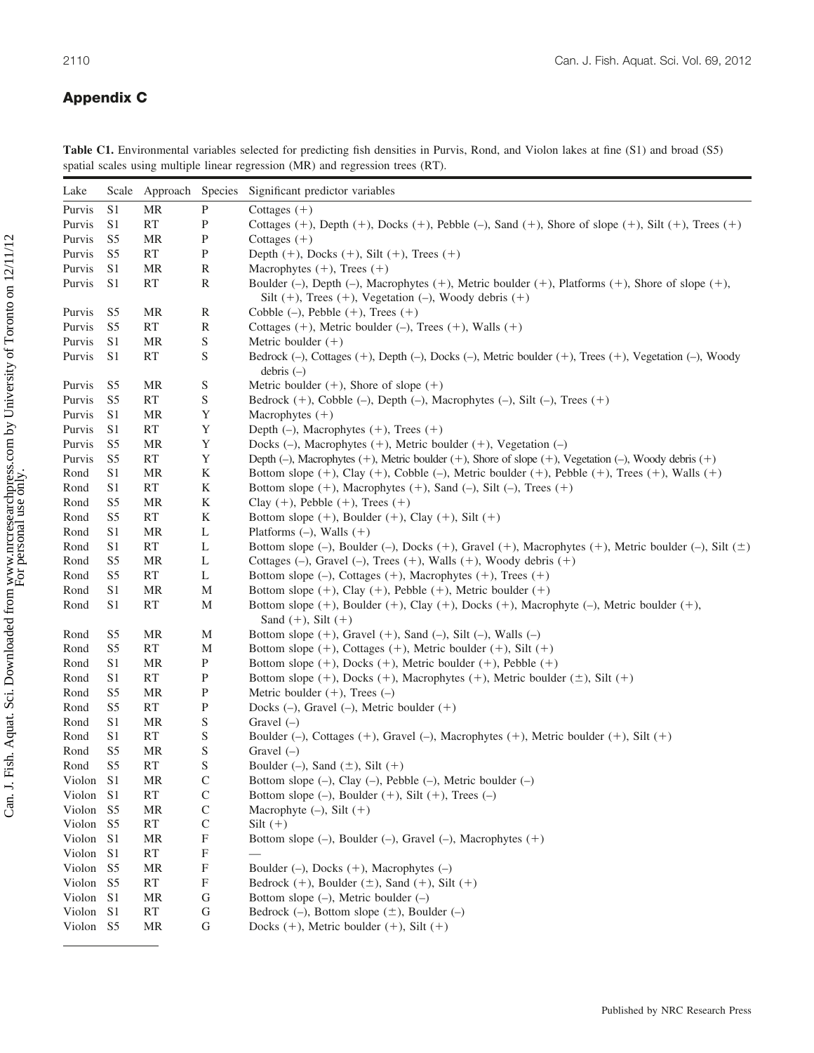# **Appendix C**

| Lake                   |                      | Scale Approach Species |                           | Significant predictor variables                                                                                                                                                       |
|------------------------|----------------------|------------------------|---------------------------|---------------------------------------------------------------------------------------------------------------------------------------------------------------------------------------|
| Purvis                 | S1                   | <b>MR</b>              | ${\bf P}$                 | Cottages $(+)$                                                                                                                                                                        |
| Purvis                 | S1                   | RT                     | P                         | Cottages $(+)$ , Depth $(+)$ , Docks $(+)$ , Pebble $(-)$ , Sand $(+)$ , Shore of slope $(+)$ , Silt $(+)$ , Trees $(+)$                                                              |
| Purvis                 | S <sub>5</sub>       | <b>MR</b>              | P                         | Cottages $(+)$                                                                                                                                                                        |
| Purvis                 | S <sub>5</sub>       | <b>RT</b>              | P                         | Depth $(+)$ , Docks $(+)$ , Silt $(+)$ , Trees $(+)$                                                                                                                                  |
| Purvis                 | S1                   | <b>MR</b>              | $\mathbb{R}$              | Macrophytes $(+)$ , Trees $(+)$                                                                                                                                                       |
| Purvis                 | S <sub>1</sub>       | RT                     | R                         | Boulder $(-)$ , Depth $(-)$ , Macrophytes $(+)$ , Metric boulder $(+)$ , Platforms $(+)$ , Shore of slope $(+)$ ,<br>Silt $(+)$ , Trees $(+)$ , Vegetation $(-)$ , Woody debris $(+)$ |
| Purvis                 | S <sub>5</sub>       | MR                     | $\mathbb{R}$              | Cobble $(-)$ , Pebble $(+)$ , Trees $(+)$                                                                                                                                             |
| Purvis                 | S <sub>5</sub>       | <b>RT</b>              | $\mathbb{R}$              | Cottages $(+)$ , Metric boulder $(-)$ , Trees $(+)$ , Walls $(+)$                                                                                                                     |
| Purvis                 | S <sub>1</sub>       | MR                     | ${\mathbf S}$             | Metric boulder $(+)$                                                                                                                                                                  |
| Purvis                 | S1                   | RT                     | S                         | Bedrock $(-)$ , Cottages $(+)$ , Depth $(-)$ , Docks $(-)$ , Metric boulder $(+)$ , Trees $(+)$ , Vegetation $(-)$ , Woody<br>debris $(-)$                                            |
| Purvis                 | S <sub>5</sub>       | MR                     | S                         | Metric boulder $(+)$ , Shore of slope $(+)$                                                                                                                                           |
| Purvis                 | S <sub>5</sub>       | <b>RT</b>              | ${\mathbf S}$             | Bedrock $(+)$ , Cobble $(-)$ , Depth $(-)$ , Macrophytes $(-)$ , Silt $(-)$ , Trees $(+)$                                                                                             |
| Purvis                 | S1                   | <b>MR</b>              | $\mathbf Y$               | Macrophytes $(+)$                                                                                                                                                                     |
| Purvis                 | S <sub>1</sub>       | <b>RT</b>              | $\mathbf Y$               | Depth $(-)$ , Macrophytes $(+)$ , Trees $(+)$                                                                                                                                         |
| Purvis                 | S <sub>5</sub>       | <b>MR</b>              | Y                         | Docks $(-)$ , Macrophytes $(+)$ , Metric boulder $(+)$ , Vegetation $(-)$                                                                                                             |
| Purvis                 | S <sub>5</sub>       | <b>RT</b>              | $\mathbf Y$               | Depth $(-)$ , Macrophytes $(+)$ , Metric boulder $(+)$ , Shore of slope $(+)$ , Vegetation $(-)$ , Woody debris $(+)$                                                                 |
| Rond                   | S1                   | <b>MR</b>              | $\rm K$                   | Bottom slope $(+)$ , Clay $(+)$ , Cobble $(-)$ , Metric boulder $(+)$ , Pebble $(+)$ , Trees $(+)$ , Walls $(+)$                                                                      |
| Rond                   | S1                   | <b>RT</b>              | K                         | Bottom slope $(+)$ , Macrophytes $(+)$ , Sand $(-)$ , Silt $(-)$ , Trees $(+)$                                                                                                        |
| Rond                   | S <sub>5</sub>       | MR                     | $\bf K$                   | Clay $(+)$ , Pebble $(+)$ , Trees $(+)$                                                                                                                                               |
| Rond                   | S <sub>5</sub>       | <b>RT</b>              | K                         | Bottom slope $(+)$ , Boulder $(+)$ , Clay $(+)$ , Silt $(+)$                                                                                                                          |
| Rond                   | S1                   | <b>MR</b>              | $\mathbf L$               | Platforms $(-)$ , Walls $(+)$                                                                                                                                                         |
| Rond                   | S1                   | <b>RT</b>              | L                         | Bottom slope (–), Boulder (–), Docks (+), Gravel (+), Macrophytes (+), Metric boulder (–), Silt ( $\pm$ )                                                                             |
| Rond                   | S <sub>5</sub>       | MR                     | L                         | Cottages $(-)$ , Gravel $(-)$ , Trees $(+)$ , Walls $(+)$ , Woody debris $(+)$                                                                                                        |
| Rond<br>Rond           | S <sub>5</sub><br>S1 | <b>RT</b><br><b>MR</b> | L<br>M                    | Bottom slope $(-)$ , Cottages $(+)$ , Macrophytes $(+)$ , Trees $(+)$<br>Bottom slope $(+)$ , Clay $(+)$ , Pebble $(+)$ , Metric boulder $(+)$                                        |
| Rond                   | S1                   | RT                     | M                         |                                                                                                                                                                                       |
|                        |                      |                        |                           | Bottom slope $(+)$ , Boulder $(+)$ , Clay $(+)$ , Docks $(+)$ , Macrophyte $(-)$ , Metric boulder $(+)$ ,<br>Sand $(+)$ , Silt $(+)$                                                  |
| Rond                   | S <sub>5</sub>       | MR                     | M                         | Bottom slope $(+)$ , Gravel $(+)$ , Sand $(-)$ , Silt $(-)$ , Walls $(-)$                                                                                                             |
| Rond                   | S <sub>5</sub>       | RT                     | М                         | Bottom slope (+), Cottages (+), Metric boulder (+), Silt (+)                                                                                                                          |
| Rond                   | S1                   | MR                     | P                         | Bottom slope $(+)$ , Docks $(+)$ , Metric boulder $(+)$ , Pebble $(+)$                                                                                                                |
| Rond                   | S1                   | <b>RT</b>              | P                         | Bottom slope $(+)$ , Docks $(+)$ , Macrophytes $(+)$ , Metric boulder $(\pm)$ , Silt $(+)$                                                                                            |
| Rond                   | S <sub>5</sub>       | MR                     | P                         | Metric boulder $(+)$ , Trees $(-)$                                                                                                                                                    |
| Rond                   | S <sub>5</sub>       | RT                     | ${\bf P}$                 | Docks $(-)$ , Gravel $(-)$ , Metric boulder $(+)$                                                                                                                                     |
| Rond                   | S1                   | <b>MR</b>              | ${\mathbf S}$             | Gravel $(-)$                                                                                                                                                                          |
| Rond                   | S1                   | <b>RT</b>              | ${\mathbf S}$             | Boulder $(-)$ , Cottages $(+)$ , Gravel $(-)$ , Macrophytes $(+)$ , Metric boulder $(+)$ , Silt $(+)$                                                                                 |
| Rond                   | S <sub>5</sub>       | <b>MR</b>              | ${\mathbf S}$             | Gravel $(-)$                                                                                                                                                                          |
| Rond                   | S <sub>5</sub>       | RT                     | S                         | Boulder $(-)$ , Sand $(\pm)$ , Silt $(+)$                                                                                                                                             |
| Violon S1              |                      | MR                     | $\mathsf C$               | Bottom slope $(-)$ , Clay $(-)$ , Pebble $(-)$ , Metric boulder $(-)$                                                                                                                 |
| Violon S1              |                      | <b>RT</b>              | $\mathsf C$               | Bottom slope $(-)$ , Boulder $(+)$ , Silt $(+)$ , Trees $(-)$                                                                                                                         |
| Violon S5<br>Violon S5 |                      | <b>MR</b><br><b>RT</b> | $\mathsf C$<br>${\bf C}$  | Macrophyte $(-)$ , Silt $(+)$                                                                                                                                                         |
| Violon S1              |                      |                        | $\boldsymbol{\mathrm{F}}$ | Silt $(+)$                                                                                                                                                                            |
| Violon S1              |                      | MR<br>RT               | $\boldsymbol{\mathrm{F}}$ | Bottom slope $(-)$ , Boulder $(-)$ , Gravel $(-)$ , Macrophytes $(+)$                                                                                                                 |
| Violon S5              |                      | MR                     | $\mathbf F$               | Boulder $(-)$ , Docks $(+)$ , Macrophytes $(-)$                                                                                                                                       |
| Violon S5              |                      | RT                     | $\boldsymbol{\mathrm{F}}$ | Bedrock $(+)$ , Boulder $(\pm)$ , Sand $(+)$ , Silt $(+)$                                                                                                                             |
| Violon S1              |                      | MR                     | ${\bf G}$                 | Bottom slope $(-)$ , Metric boulder $(-)$                                                                                                                                             |
| Violon S1              |                      | <b>RT</b>              | ${\bf G}$                 | Bedrock $(-)$ , Bottom slope $(\pm)$ , Boulder $(-)$                                                                                                                                  |
|                        |                      |                        |                           |                                                                                                                                                                                       |
| Violon S5              |                      | MR                     | ${\bf G}$                 | Docks $(+)$ , Metric boulder $(+)$ , Silt $(+)$                                                                                                                                       |

**Table C1.** Environmental variables selected for predicting fish densities in Purvis, Rond, and Violon lakes at fine (S1) and broad (S5) spatial scales using multiple linear regression (MR) and regression trees (RT).